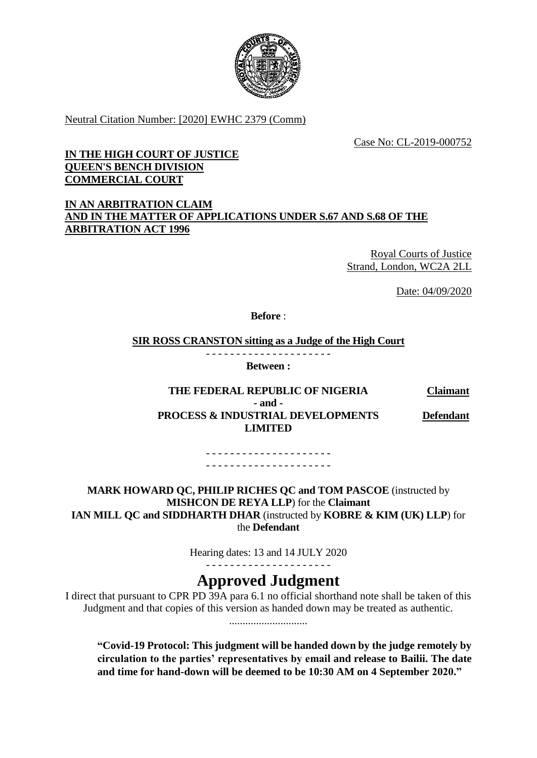

Neutral Citation Number: [2020] EWHC 2379 (Comm)

Case No: CL-2019-000752

# **IN THE HIGH COURT OF JUSTICE QUEEN'S BENCH DIVISION COMMERCIAL COURT**

# **IN AN ARBITRATION CLAIM AND IN THE MATTER OF APPLICATIONS UNDER S.67 AND S.68 OF THE ARBITRATION ACT 1996**

Royal Courts of Justice Strand, London, WC2A 2LL

Date: 04/09/2020

**Before** :

**SIR ROSS CRANSTON sitting as a Judge of the High Court**

- - - - - - - - - - - - - - - - - - - - - **Between :**

#### **THE FEDERAL REPUBLIC OF NIGERIA Claimant - and - PROCESS & INDUSTRIAL DEVELOPMENTS LIMITED Defendant**

- - - - - - - - - - - - - - - - - - - - - - - - - - - - - - - - - - - - - - - - - -

**MARK HOWARD QC, PHILIP RICHES QC and TOM PASCOE** (instructed by **MISHCON DE REYA LLP**) for the **Claimant IAN MILL QC and SIDDHARTH DHAR** (instructed by **KOBRE & KIM (UK) LLP**) for the **Defendant**

> Hearing dates: 13 and 14 JULY 2020 - - - - - - - - - - - - - - - - - - - - -

# **Approved Judgment**

I direct that pursuant to CPR PD 39A para 6.1 no official shorthand note shall be taken of this Judgment and that copies of this version as handed down may be treated as authentic. .............................

**"Covid-19 Protocol: This judgment will be handed down by the judge remotely by circulation to the parties' representatives by email and release to Bailii. The date and time for hand-down will be deemed to be 10:30 AM on 4 September 2020."**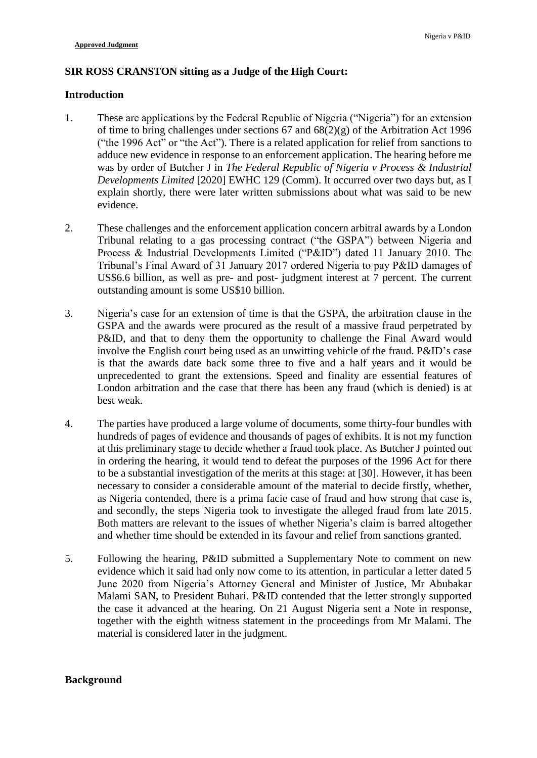# **SIR ROSS CRANSTON sitting as a Judge of the High Court:**

## **Introduction**

- 1. These are applications by the Federal Republic of Nigeria ("Nigeria") for an extension of time to bring challenges under sections 67 and 68(2)(g) of the Arbitration Act 1996 ("the 1996 Act" or "the Act"). There is a related application for relief from sanctions to adduce new evidence in response to an enforcement application. The hearing before me was by order of Butcher J in *The Federal Republic of Nigeria v Process & Industrial Developments Limited* [2020] EWHC 129 (Comm). It occurred over two days but, as I explain shortly, there were later written submissions about what was said to be new evidence.
- 2. These challenges and the enforcement application concern arbitral awards by a London Tribunal relating to a gas processing contract ("the GSPA") between Nigeria and Process & Industrial Developments Limited ("P&ID") dated 11 January 2010. The Tribunal's Final Award of 31 January 2017 ordered Nigeria to pay P&ID damages of US\$6.6 billion, as well as pre- and post- judgment interest at 7 percent. The current outstanding amount is some US\$10 billion.
- 3. Nigeria's case for an extension of time is that the GSPA, the arbitration clause in the GSPA and the awards were procured as the result of a massive fraud perpetrated by P&ID, and that to deny them the opportunity to challenge the Final Award would involve the English court being used as an unwitting vehicle of the fraud. P&ID's case is that the awards date back some three to five and a half years and it would be unprecedented to grant the extensions. Speed and finality are essential features of London arbitration and the case that there has been any fraud (which is denied) is at best weak.
- 4. The parties have produced a large volume of documents, some thirty-four bundles with hundreds of pages of evidence and thousands of pages of exhibits. It is not my function at this preliminary stage to decide whether a fraud took place. As Butcher J pointed out in ordering the hearing, it would tend to defeat the purposes of the 1996 Act for there to be a substantial investigation of the merits at this stage: at [30]. However, it has been necessary to consider a considerable amount of the material to decide firstly, whether, as Nigeria contended, there is a prima facie case of fraud and how strong that case is, and secondly, the steps Nigeria took to investigate the alleged fraud from late 2015. Both matters are relevant to the issues of whether Nigeria's claim is barred altogether and whether time should be extended in its favour and relief from sanctions granted.
- 5. Following the hearing, P&ID submitted a Supplementary Note to comment on new evidence which it said had only now come to its attention, in particular a letter dated 5 June 2020 from Nigeria's Attorney General and Minister of Justice, Mr Abubakar Malami SAN, to President Buhari. P&ID contended that the letter strongly supported the case it advanced at the hearing. On 21 August Nigeria sent a Note in response, together with the eighth witness statement in the proceedings from Mr Malami. The material is considered later in the judgment.

# **Background**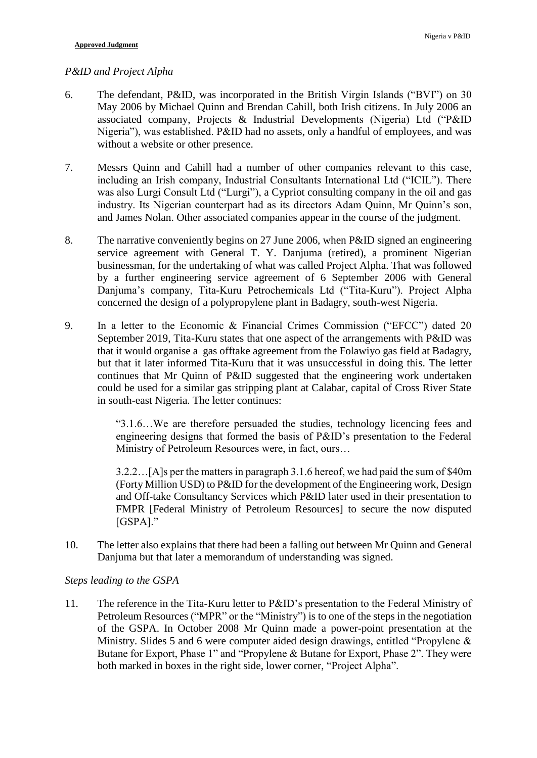#### *P&ID and Project Alpha*

- 6. The defendant, P&ID, was incorporated in the British Virgin Islands ("BVI") on 30 May 2006 by Michael Quinn and Brendan Cahill, both Irish citizens. In July 2006 an associated company, Projects & Industrial Developments (Nigeria) Ltd ("P&ID Nigeria"), was established. P&ID had no assets, only a handful of employees, and was without a website or other presence.
- 7. Messrs Quinn and Cahill had a number of other companies relevant to this case, including an Irish company, Industrial Consultants International Ltd ("ICIL"). There was also Lurgi Consult Ltd ("Lurgi"), a Cypriot consulting company in the oil and gas industry. Its Nigerian counterpart had as its directors Adam Quinn, Mr Quinn's son, and James Nolan. Other associated companies appear in the course of the judgment.
- 8. The narrative conveniently begins on 27 June 2006, when P&ID signed an engineering service agreement with General T. Y. Danjuma (retired), a prominent Nigerian businessman, for the undertaking of what was called Project Alpha. That was followed by a further engineering service agreement of 6 September 2006 with General Danjuma's company, Tita-Kuru Petrochemicals Ltd ("Tita-Kuru"). Project Alpha concerned the design of a polypropylene plant in Badagry, south-west Nigeria.
- 9. In a letter to the Economic & Financial Crimes Commission ("EFCC") dated 20 September 2019, Tita-Kuru states that one aspect of the arrangements with P&ID was that it would organise a gas offtake agreement from the Folawiyo gas field at Badagry, but that it later informed Tita-Kuru that it was unsuccessful in doing this. The letter continues that Mr Quinn of P&ID suggested that the engineering work undertaken could be used for a similar gas stripping plant at Calabar, capital of Cross River State in south-east Nigeria. The letter continues:

"3.1.6…We are therefore persuaded the studies, technology licencing fees and engineering designs that formed the basis of P&ID's presentation to the Federal Ministry of Petroleum Resources were, in fact, ours…

3.2.2…[A]s per the matters in paragraph 3.1.6 hereof, we had paid the sum of \$40m (Forty Million USD) to P&ID for the development of the Engineering work, Design and Off-take Consultancy Services which P&ID later used in their presentation to FMPR [Federal Ministry of Petroleum Resources] to secure the now disputed [GSPA]."

10. The letter also explains that there had been a falling out between Mr Quinn and General Danjuma but that later a memorandum of understanding was signed.

#### *Steps leading to the GSPA*

11. The reference in the Tita-Kuru letter to P&ID's presentation to the Federal Ministry of Petroleum Resources ("MPR" or the "Ministry") is to one of the steps in the negotiation of the GSPA. In October 2008 Mr Quinn made a power-point presentation at the Ministry. Slides 5 and 6 were computer aided design drawings, entitled "Propylene & Butane for Export, Phase 1" and "Propylene & Butane for Export, Phase 2". They were both marked in boxes in the right side, lower corner, "Project Alpha".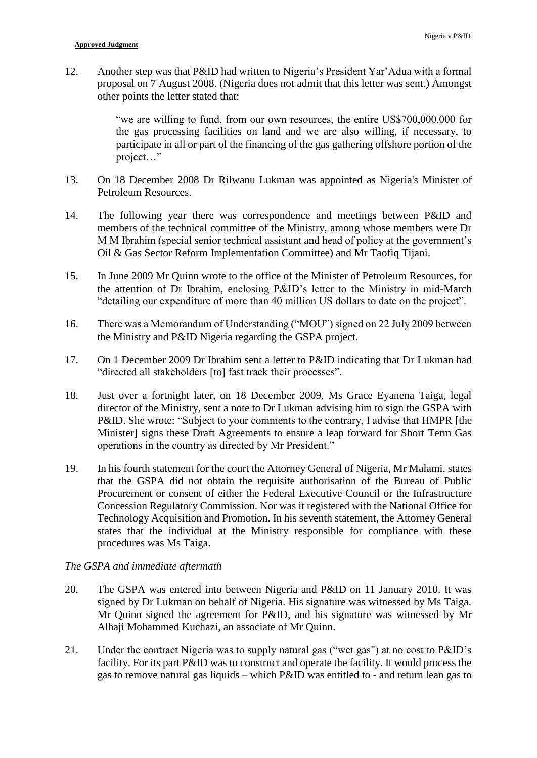12. Another step was that P&ID had written to Nigeria's President Yar'Adua with a formal proposal on 7 August 2008. (Nigeria does not admit that this letter was sent.) Amongst other points the letter stated that:

> "we are willing to fund, from our own resources, the entire US\$700,000,000 for the gas processing facilities on land and we are also willing, if necessary, to participate in all or part of the financing of the gas gathering offshore portion of the project…"

- 13. On 18 December 2008 Dr Rilwanu Lukman was appointed as Nigeria's Minister of Petroleum Resources.
- 14. The following year there was correspondence and meetings between P&ID and members of the technical committee of the Ministry, among whose members were Dr M M Ibrahim (special senior technical assistant and head of policy at the government's Oil & Gas Sector Reform Implementation Committee) and Mr Taofiq Tijani.
- 15. In June 2009 Mr Quinn wrote to the office of the Minister of Petroleum Resources, for the attention of Dr Ibrahim, enclosing P&ID's letter to the Ministry in mid-March "detailing our expenditure of more than 40 million US dollars to date on the project".
- 16. There was a Memorandum of Understanding ("MOU") signed on 22 July 2009 between the Ministry and P&ID Nigeria regarding the GSPA project.
- 17. On 1 December 2009 Dr Ibrahim sent a letter to P&ID indicating that Dr Lukman had "directed all stakeholders [to] fast track their processes".
- 18. Just over a fortnight later, on 18 December 2009, Ms Grace Eyanena Taiga, legal director of the Ministry, sent a note to Dr Lukman advising him to sign the GSPA with P&ID. She wrote: "Subject to your comments to the contrary, I advise that HMPR [the Minister] signs these Draft Agreements to ensure a leap forward for Short Term Gas operations in the country as directed by Mr President."
- 19. In his fourth statement for the court the Attorney General of Nigeria, Mr Malami, states that the GSPA did not obtain the requisite authorisation of the Bureau of Public Procurement or consent of either the Federal Executive Council or the Infrastructure Concession Regulatory Commission. Nor was it registered with the National Office for Technology Acquisition and Promotion. In his seventh statement, the Attorney General states that the individual at the Ministry responsible for compliance with these procedures was Ms Taiga.

## *The GSPA and immediate aftermath*

- 20. The GSPA was entered into between Nigeria and P&ID on 11 January 2010. It was signed by Dr Lukman on behalf of Nigeria. His signature was witnessed by Ms Taiga. Mr Quinn signed the agreement for P&ID, and his signature was witnessed by Mr Alhaji Mohammed Kuchazi, an associate of Mr Quinn.
- 21. Under the contract Nigeria was to supply natural gas ("wet gas") at no cost to P&ID's facility. For its part P&ID was to construct and operate the facility. It would process the gas to remove natural gas liquids – which P&ID was entitled to - and return lean gas to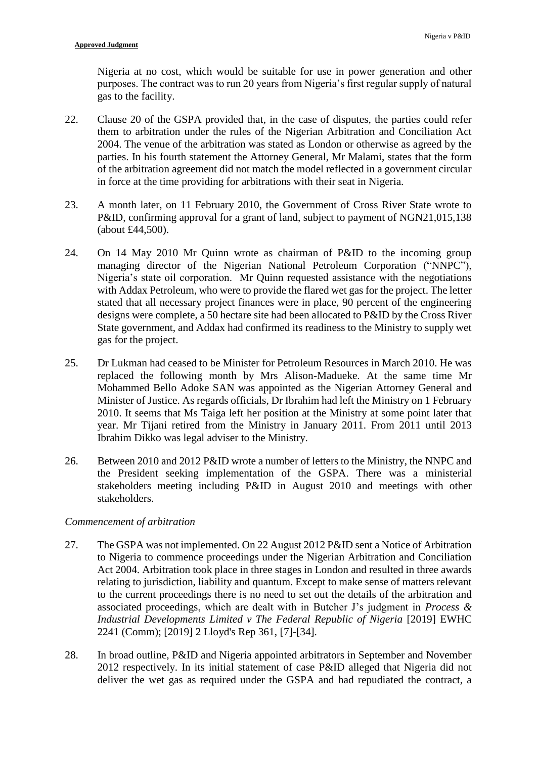Nigeria at no cost, which would be suitable for use in power generation and other purposes. The contract was to run 20 years from Nigeria's first regular supply of natural gas to the facility.

- 22. Clause 20 of the GSPA provided that, in the case of disputes, the parties could refer them to arbitration under the rules of the Nigerian Arbitration and Conciliation Act 2004. The venue of the arbitration was stated as London or otherwise as agreed by the parties. In his fourth statement the Attorney General, Mr Malami, states that the form of the arbitration agreement did not match the model reflected in a government circular in force at the time providing for arbitrations with their seat in Nigeria.
- 23. A month later, on 11 February 2010, the Government of Cross River State wrote to P&ID, confirming approval for a grant of land, subject to payment of NGN21,015,138 (about £44,500).
- 24. On 14 May 2010 Mr Quinn wrote as chairman of P&ID to the incoming group managing director of the Nigerian National Petroleum Corporation ("NNPC"), Nigeria's state oil corporation. Mr Quinn requested assistance with the negotiations with Addax Petroleum, who were to provide the flared wet gas for the project. The letter stated that all necessary project finances were in place, 90 percent of the engineering designs were complete, a 50 hectare site had been allocated to P&ID by the Cross River State government, and Addax had confirmed its readiness to the Ministry to supply wet gas for the project.
- 25. Dr Lukman had ceased to be Minister for Petroleum Resources in March 2010. He was replaced the following month by Mrs Alison-Madueke. At the same time Mr Mohammed Bello Adoke SAN was appointed as the Nigerian Attorney General and Minister of Justice. As regards officials, Dr Ibrahim had left the Ministry on 1 February 2010. It seems that Ms Taiga left her position at the Ministry at some point later that year. Mr Tijani retired from the Ministry in January 2011. From 2011 until 2013 Ibrahim Dikko was legal adviser to the Ministry.
- 26. Between 2010 and 2012 P&ID wrote a number of letters to the Ministry, the NNPC and the President seeking implementation of the GSPA. There was a ministerial stakeholders meeting including P&ID in August 2010 and meetings with other stakeholders.

#### *Commencement of arbitration*

- 27. The GSPA was not implemented. On 22 August 2012 P&ID sent a Notice of Arbitration to Nigeria to commence proceedings under the Nigerian Arbitration and Conciliation Act 2004. Arbitration took place in three stages in London and resulted in three awards relating to jurisdiction, liability and quantum. Except to make sense of matters relevant to the current proceedings there is no need to set out the details of the arbitration and associated proceedings, which are dealt with in Butcher J's judgment in *Process & Industrial Developments Limited v The Federal Republic of Nigeria* [2019] EWHC 2241 (Comm); [2019] 2 Lloyd's Rep 361, [7]-[34].
- 28. In broad outline, P&ID and Nigeria appointed arbitrators in September and November 2012 respectively. In its initial statement of case P&ID alleged that Nigeria did not deliver the wet gas as required under the GSPA and had repudiated the contract, a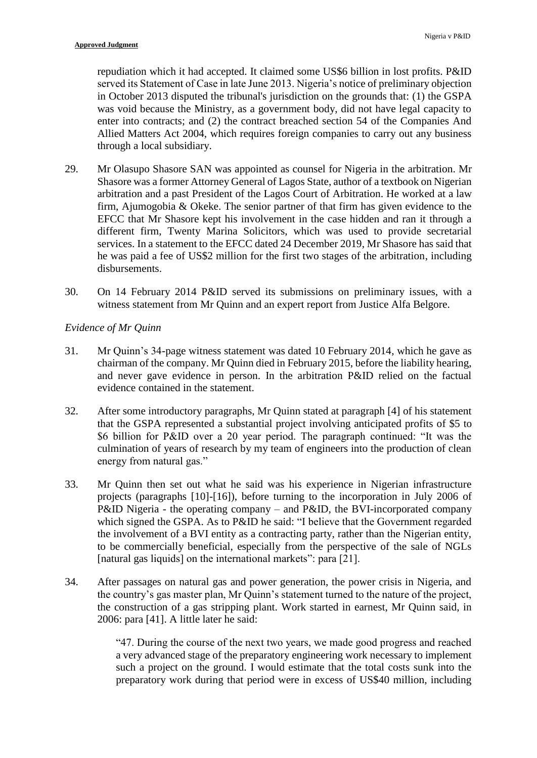repudiation which it had accepted. It claimed some US\$6 billion in lost profits. P&ID served its Statement of Case in late June 2013. Nigeria's notice of preliminary objection in October 2013 disputed the tribunal's jurisdiction on the grounds that: (1) the GSPA was void because the Ministry, as a government body, did not have legal capacity to enter into contracts; and (2) the contract breached section 54 of the Companies And Allied Matters Act 2004, which requires foreign companies to carry out any business through a local subsidiary.

- 29. Mr Olasupo Shasore SAN was appointed as counsel for Nigeria in the arbitration. Mr Shasore was a former Attorney General of Lagos State, author of a textbook on Nigerian arbitration and a past President of the Lagos Court of Arbitration. He worked at a law firm, Ajumogobia & Okeke. The senior partner of that firm has given evidence to the EFCC that Mr Shasore kept his involvement in the case hidden and ran it through a different firm, Twenty Marina Solicitors, which was used to provide secretarial services. In a statement to the EFCC dated 24 December 2019, Mr Shasore has said that he was paid a fee of US\$2 million for the first two stages of the arbitration, including disbursements.
- 30. On 14 February 2014 P&ID served its submissions on preliminary issues, with a witness statement from Mr Quinn and an expert report from Justice Alfa Belgore.

# *Evidence of Mr Quinn*

- 31. Mr Quinn's 34-page witness statement was dated 10 February 2014, which he gave as chairman of the company. Mr Quinn died in February 2015, before the liability hearing, and never gave evidence in person. In the arbitration P&ID relied on the factual evidence contained in the statement.
- 32. After some introductory paragraphs, Mr Quinn stated at paragraph [4] of his statement that the GSPA represented a substantial project involving anticipated profits of \$5 to \$6 billion for P&ID over a 20 year period. The paragraph continued: "It was the culmination of years of research by my team of engineers into the production of clean energy from natural gas."
- 33. Mr Quinn then set out what he said was his experience in Nigerian infrastructure projects (paragraphs [10]-[16]), before turning to the incorporation in July 2006 of P&ID Nigeria - the operating company – and P&ID, the BVI-incorporated company which signed the GSPA. As to P&ID he said: "I believe that the Government regarded the involvement of a BVI entity as a contracting party, rather than the Nigerian entity, to be commercially beneficial, especially from the perspective of the sale of NGLs [natural gas liquids] on the international markets": para [21].
- 34. After passages on natural gas and power generation, the power crisis in Nigeria, and the country's gas master plan, Mr Quinn's statement turned to the nature of the project, the construction of a gas stripping plant. Work started in earnest, Mr Quinn said, in 2006: para [41]. A little later he said:

"47. During the course of the next two years, we made good progress and reached a very advanced stage of the preparatory engineering work necessary to implement such a project on the ground. I would estimate that the total costs sunk into the preparatory work during that period were in excess of US\$40 million, including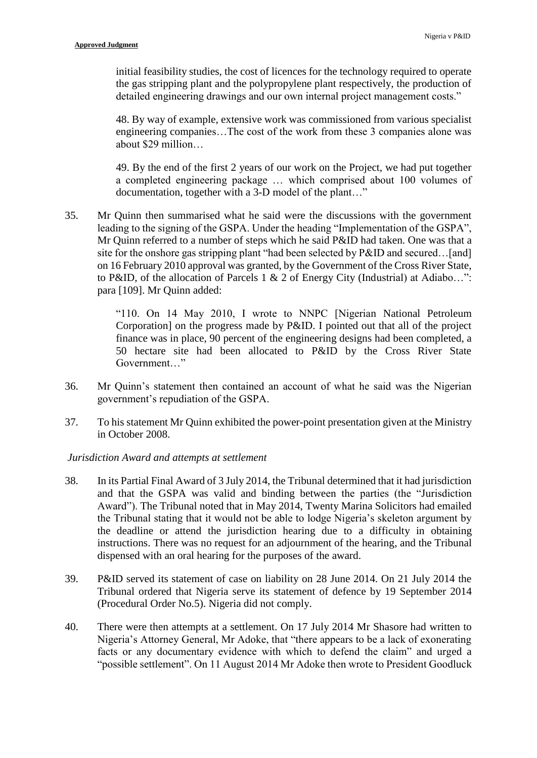initial feasibility studies, the cost of licences for the technology required to operate the gas stripping plant and the polypropylene plant respectively, the production of detailed engineering drawings and our own internal project management costs."

48. By way of example, extensive work was commissioned from various specialist engineering companies…The cost of the work from these 3 companies alone was about \$29 million…

49. By the end of the first 2 years of our work on the Project, we had put together a completed engineering package … which comprised about 100 volumes of documentation, together with a 3-D model of the plant…"

35. Mr Quinn then summarised what he said were the discussions with the government leading to the signing of the GSPA. Under the heading "Implementation of the GSPA", Mr Quinn referred to a number of steps which he said P&ID had taken. One was that a site for the onshore gas stripping plant "had been selected by P&ID and secured…[and] on 16 February 2010 approval was granted, by the Government of the Cross River State, to P&ID, of the allocation of Parcels 1 & 2 of Energy City (Industrial) at Adiabo…": para [109]. Mr Quinn added:

> "110. On 14 May 2010, I wrote to NNPC [Nigerian National Petroleum Corporation] on the progress made by P&ID. I pointed out that all of the project finance was in place, 90 percent of the engineering designs had been completed, a 50 hectare site had been allocated to P&ID by the Cross River State Government…"

- 36. Mr Quinn's statement then contained an account of what he said was the Nigerian government's repudiation of the GSPA.
- 37. To his statement Mr Quinn exhibited the power-point presentation given at the Ministry in October 2008.

## *Jurisdiction Award and attempts at settlement*

- 38. In its Partial Final Award of 3 July 2014, the Tribunal determined that it had jurisdiction and that the GSPA was valid and binding between the parties (the "Jurisdiction Award"). The Tribunal noted that in May 2014, Twenty Marina Solicitors had emailed the Tribunal stating that it would not be able to lodge Nigeria's skeleton argument by the deadline or attend the jurisdiction hearing due to a difficulty in obtaining instructions. There was no request for an adjournment of the hearing, and the Tribunal dispensed with an oral hearing for the purposes of the award.
- 39. P&ID served its statement of case on liability on 28 June 2014. On 21 July 2014 the Tribunal ordered that Nigeria serve its statement of defence by 19 September 2014 (Procedural Order No.5). Nigeria did not comply.
- 40. There were then attempts at a settlement. On 17 July 2014 Mr Shasore had written to Nigeria's Attorney General, Mr Adoke, that "there appears to be a lack of exonerating facts or any documentary evidence with which to defend the claim" and urged a "possible settlement". On 11 August 2014 Mr Adoke then wrote to President Goodluck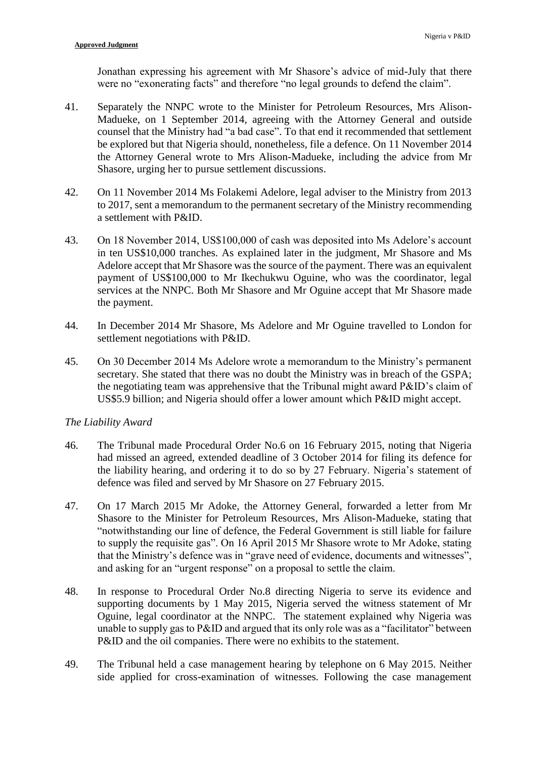Jonathan expressing his agreement with Mr Shasore's advice of mid-July that there were no "exonerating facts" and therefore "no legal grounds to defend the claim".

- 41. Separately the NNPC wrote to the Minister for Petroleum Resources, Mrs Alison-Madueke, on 1 September 2014, agreeing with the Attorney General and outside counsel that the Ministry had "a bad case". To that end it recommended that settlement be explored but that Nigeria should, nonetheless, file a defence. On 11 November 2014 the Attorney General wrote to Mrs Alison-Madueke, including the advice from Mr Shasore, urging her to pursue settlement discussions.
- 42. On 11 November 2014 Ms Folakemi Adelore, legal adviser to the Ministry from 2013 to 2017, sent a memorandum to the permanent secretary of the Ministry recommending a settlement with P&ID.
- 43. On 18 November 2014, US\$100,000 of cash was deposited into Ms Adelore's account in ten US\$10,000 tranches. As explained later in the judgment, Mr Shasore and Ms Adelore accept that Mr Shasore was the source of the payment. There was an equivalent payment of US\$100,000 to Mr Ikechukwu Oguine, who was the coordinator, legal services at the NNPC. Both Mr Shasore and Mr Oguine accept that Mr Shasore made the payment.
- 44. In December 2014 Mr Shasore, Ms Adelore and Mr Oguine travelled to London for settlement negotiations with P&ID.
- 45. On 30 December 2014 Ms Adelore wrote a memorandum to the Ministry's permanent secretary. She stated that there was no doubt the Ministry was in breach of the GSPA; the negotiating team was apprehensive that the Tribunal might award P&ID's claim of US\$5.9 billion; and Nigeria should offer a lower amount which P&ID might accept.

#### *The Liability Award*

- 46. The Tribunal made Procedural Order No.6 on 16 February 2015, noting that Nigeria had missed an agreed, extended deadline of 3 October 2014 for filing its defence for the liability hearing, and ordering it to do so by 27 February. Nigeria's statement of defence was filed and served by Mr Shasore on 27 February 2015.
- 47. On 17 March 2015 Mr Adoke, the Attorney General, forwarded a letter from Mr Shasore to the Minister for Petroleum Resources, Mrs Alison-Madueke, stating that "notwithstanding our line of defence, the Federal Government is still liable for failure to supply the requisite gas". On 16 April 2015 Mr Shasore wrote to Mr Adoke, stating that the Ministry's defence was in "grave need of evidence, documents and witnesses", and asking for an "urgent response" on a proposal to settle the claim.
- 48. In response to Procedural Order No.8 directing Nigeria to serve its evidence and supporting documents by 1 May 2015, Nigeria served the witness statement of Mr Oguine, legal coordinator at the NNPC. The statement explained why Nigeria was unable to supply gas to P&ID and argued that its only role was as a "facilitator" between P&ID and the oil companies. There were no exhibits to the statement.
- 49. The Tribunal held a case management hearing by telephone on 6 May 2015. Neither side applied for cross-examination of witnesses. Following the case management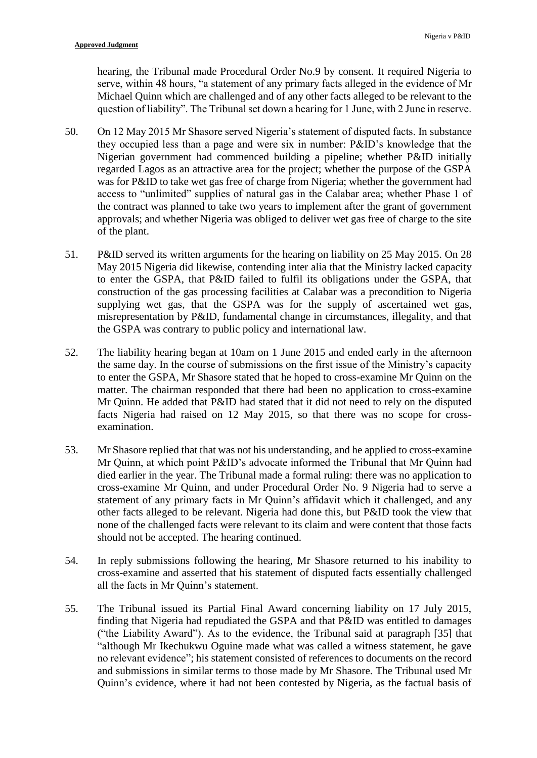hearing, the Tribunal made Procedural Order No.9 by consent. It required Nigeria to serve, within 48 hours, "a statement of any primary facts alleged in the evidence of Mr Michael Quinn which are challenged and of any other facts alleged to be relevant to the question of liability". The Tribunal set down a hearing for 1 June, with 2 June in reserve.

- 50. On 12 May 2015 Mr Shasore served Nigeria's statement of disputed facts. In substance they occupied less than a page and were six in number: P&ID's knowledge that the Nigerian government had commenced building a pipeline; whether P&ID initially regarded Lagos as an attractive area for the project; whether the purpose of the GSPA was for P&ID to take wet gas free of charge from Nigeria; whether the government had access to "unlimited" supplies of natural gas in the Calabar area; whether Phase 1 of the contract was planned to take two years to implement after the grant of government approvals; and whether Nigeria was obliged to deliver wet gas free of charge to the site of the plant.
- 51. P&ID served its written arguments for the hearing on liability on 25 May 2015. On 28 May 2015 Nigeria did likewise, contending inter alia that the Ministry lacked capacity to enter the GSPA, that P&ID failed to fulfil its obligations under the GSPA, that construction of the gas processing facilities at Calabar was a precondition to Nigeria supplying wet gas, that the GSPA was for the supply of ascertained wet gas, misrepresentation by P&ID, fundamental change in circumstances, illegality, and that the GSPA was contrary to public policy and international law.
- 52. The liability hearing began at 10am on 1 June 2015 and ended early in the afternoon the same day. In the course of submissions on the first issue of the Ministry's capacity to enter the GSPA, Mr Shasore stated that he hoped to cross-examine Mr Quinn on the matter. The chairman responded that there had been no application to cross-examine Mr Quinn. He added that P&ID had stated that it did not need to rely on the disputed facts Nigeria had raised on 12 May 2015, so that there was no scope for crossexamination.
- 53. Mr Shasore replied that that was not his understanding, and he applied to cross-examine Mr Quinn, at which point P&ID's advocate informed the Tribunal that Mr Quinn had died earlier in the year. The Tribunal made a formal ruling: there was no application to cross-examine Mr Quinn, and under Procedural Order No. 9 Nigeria had to serve a statement of any primary facts in Mr Quinn's affidavit which it challenged, and any other facts alleged to be relevant. Nigeria had done this, but P&ID took the view that none of the challenged facts were relevant to its claim and were content that those facts should not be accepted. The hearing continued.
- 54. In reply submissions following the hearing, Mr Shasore returned to his inability to cross-examine and asserted that his statement of disputed facts essentially challenged all the facts in Mr Quinn's statement.
- 55. The Tribunal issued its Partial Final Award concerning liability on 17 July 2015, finding that Nigeria had repudiated the GSPA and that P&ID was entitled to damages ("the Liability Award"). As to the evidence, the Tribunal said at paragraph [35] that "although Mr Ikechukwu Oguine made what was called a witness statement, he gave no relevant evidence"; his statement consisted of references to documents on the record and submissions in similar terms to those made by Mr Shasore. The Tribunal used Mr Quinn's evidence, where it had not been contested by Nigeria, as the factual basis of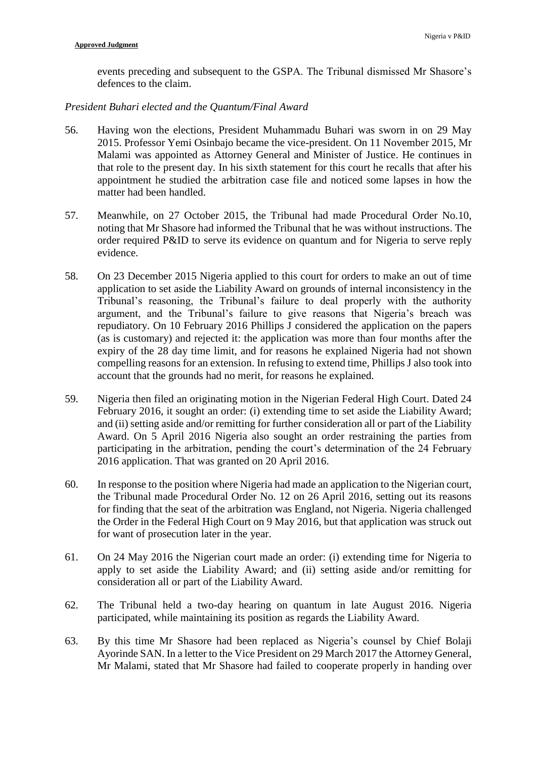events preceding and subsequent to the GSPA. The Tribunal dismissed Mr Shasore's defences to the claim.

# *President Buhari elected and the Quantum/Final Award*

- 56. Having won the elections, President Muhammadu Buhari was sworn in on 29 May 2015. Professor Yemi Osinbajo became the vice-president. On 11 November 2015, Mr Malami was appointed as Attorney General and Minister of Justice. He continues in that role to the present day. In his sixth statement for this court he recalls that after his appointment he studied the arbitration case file and noticed some lapses in how the matter had been handled.
- 57. Meanwhile, on 27 October 2015, the Tribunal had made Procedural Order No.10, noting that Mr Shasore had informed the Tribunal that he was without instructions. The order required P&ID to serve its evidence on quantum and for Nigeria to serve reply evidence.
- 58. On 23 December 2015 Nigeria applied to this court for orders to make an out of time application to set aside the Liability Award on grounds of internal inconsistency in the Tribunal's reasoning, the Tribunal's failure to deal properly with the authority argument, and the Tribunal's failure to give reasons that Nigeria's breach was repudiatory. On 10 February 2016 Phillips J considered the application on the papers (as is customary) and rejected it: the application was more than four months after the expiry of the 28 day time limit, and for reasons he explained Nigeria had not shown compelling reasons for an extension. In refusing to extend time, Phillips J also took into account that the grounds had no merit, for reasons he explained.
- 59. Nigeria then filed an originating motion in the Nigerian Federal High Court. Dated 24 February 2016, it sought an order: (i) extending time to set aside the Liability Award; and (ii) setting aside and/or remitting for further consideration all or part of the Liability Award. On 5 April 2016 Nigeria also sought an order restraining the parties from participating in the arbitration, pending the court's determination of the 24 February 2016 application. That was granted on 20 April 2016.
- 60. In response to the position where Nigeria had made an application to the Nigerian court, the Tribunal made Procedural Order No. 12 on 26 April 2016, setting out its reasons for finding that the seat of the arbitration was England, not Nigeria. Nigeria challenged the Order in the Federal High Court on 9 May 2016, but that application was struck out for want of prosecution later in the year.
- 61. On 24 May 2016 the Nigerian court made an order: (i) extending time for Nigeria to apply to set aside the Liability Award; and (ii) setting aside and/or remitting for consideration all or part of the Liability Award.
- 62. The Tribunal held a two-day hearing on quantum in late August 2016. Nigeria participated, while maintaining its position as regards the Liability Award.
- 63. By this time Mr Shasore had been replaced as Nigeria's counsel by Chief Bolaji Ayorinde SAN. In a letter to the Vice President on 29 March 2017 the Attorney General, Mr Malami, stated that Mr Shasore had failed to cooperate properly in handing over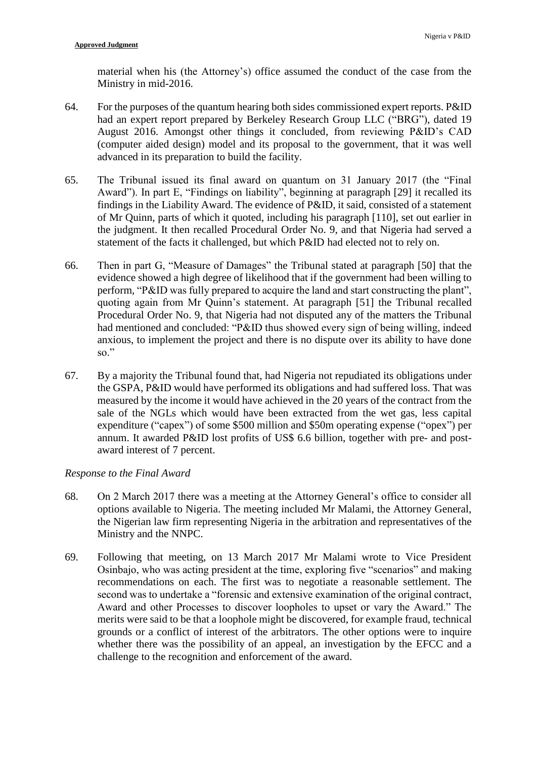material when his (the Attorney's) office assumed the conduct of the case from the Ministry in mid-2016.

- 64. For the purposes of the quantum hearing both sides commissioned expert reports. P&ID had an expert report prepared by Berkeley Research Group LLC ("BRG"), dated 19 August 2016. Amongst other things it concluded, from reviewing P&ID's CAD (computer aided design) model and its proposal to the government, that it was well advanced in its preparation to build the facility.
- 65. The Tribunal issued its final award on quantum on 31 January 2017 (the "Final Award"). In part E, "Findings on liability", beginning at paragraph [29] it recalled its findings in the Liability Award. The evidence of P&ID, it said, consisted of a statement of Mr Quinn, parts of which it quoted, including his paragraph [110], set out earlier in the judgment. It then recalled Procedural Order No. 9, and that Nigeria had served a statement of the facts it challenged, but which P&ID had elected not to rely on.
- 66. Then in part G, "Measure of Damages" the Tribunal stated at paragraph [50] that the evidence showed a high degree of likelihood that if the government had been willing to perform, "P&ID was fully prepared to acquire the land and start constructing the plant", quoting again from Mr Quinn's statement. At paragraph [51] the Tribunal recalled Procedural Order No. 9, that Nigeria had not disputed any of the matters the Tribunal had mentioned and concluded: "P&ID thus showed every sign of being willing, indeed anxious, to implement the project and there is no dispute over its ability to have done  $\mathbf{so}$ "
- 67. By a majority the Tribunal found that, had Nigeria not repudiated its obligations under the GSPA, P&ID would have performed its obligations and had suffered loss. That was measured by the income it would have achieved in the 20 years of the contract from the sale of the NGLs which would have been extracted from the wet gas, less capital expenditure ("capex") of some \$500 million and \$50m operating expense ("opex") per annum. It awarded P&ID lost profits of US\$ 6.6 billion, together with pre- and postaward interest of 7 percent.

# *Response to the Final Award*

- 68. On 2 March 2017 there was a meeting at the Attorney General's office to consider all options available to Nigeria. The meeting included Mr Malami, the Attorney General, the Nigerian law firm representing Nigeria in the arbitration and representatives of the Ministry and the NNPC.
- 69. Following that meeting, on 13 March 2017 Mr Malami wrote to Vice President Osinbajo, who was acting president at the time, exploring five "scenarios" and making recommendations on each. The first was to negotiate a reasonable settlement. The second was to undertake a "forensic and extensive examination of the original contract, Award and other Processes to discover loopholes to upset or vary the Award." The merits were said to be that a loophole might be discovered, for example fraud, technical grounds or a conflict of interest of the arbitrators. The other options were to inquire whether there was the possibility of an appeal, an investigation by the EFCC and a challenge to the recognition and enforcement of the award.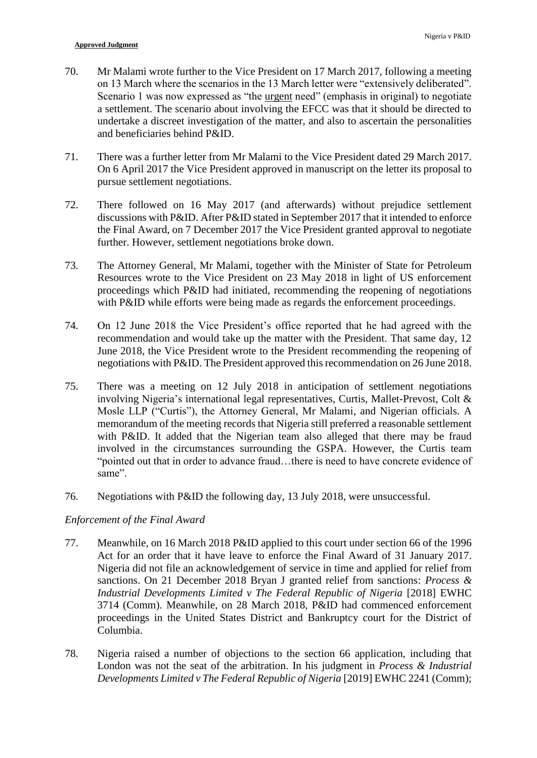- 70. Mr Malami wrote further to the Vice President on 17 March 2017, following a meeting on 13 March where the scenarios in the 13 March letter were "extensively deliberated". Scenario 1 was now expressed as "the urgent need" (emphasis in original) to negotiate a settlement. The scenario about involving the EFCC was that it should be directed to undertake a discreet investigation of the matter, and also to ascertain the personalities and beneficiaries behind P&ID.
- 71. There was a further letter from Mr Malami to the Vice President dated 29 March 2017. On 6 April 2017 the Vice President approved in manuscript on the letter its proposal to pursue settlement negotiations.
- 72. There followed on 16 May 2017 (and afterwards) without prejudice settlement discussions with P&ID. After P&ID stated in September 2017 that it intended to enforce the Final Award, on 7 December 2017 the Vice President granted approval to negotiate further. However, settlement negotiations broke down.
- 73. The Attorney General, Mr Malami, together with the Minister of State for Petroleum Resources wrote to the Vice President on 23 May 2018 in light of US enforcement proceedings which P&ID had initiated, recommending the reopening of negotiations with P&ID while efforts were being made as regards the enforcement proceedings.
- 74. On 12 June 2018 the Vice President's office reported that he had agreed with the recommendation and would take up the matter with the President. That same day, 12 June 2018, the Vice President wrote to the President recommending the reopening of negotiations with P&ID. The President approved this recommendation on 26 June 2018.
- 75. There was a meeting on 12 July 2018 in anticipation of settlement negotiations involving Nigeria's international legal representatives, Curtis, Mallet-Prevost, Colt & Mosle LLP ("Curtis"), the Attorney General, Mr Malami, and Nigerian officials. A memorandum of the meeting records that Nigeria still preferred a reasonable settlement with P&ID. It added that the Nigerian team also alleged that there may be fraud involved in the circumstances surrounding the GSPA. However, the Curtis team "pointed out that in order to advance fraud…there is need to have concrete evidence of same".
- 76. Negotiations with P&ID the following day, 13 July 2018, were unsuccessful.

# *Enforcement of the Final Award*

- 77. Meanwhile, on 16 March 2018 P&ID applied to this court under section 66 of the 1996 Act for an order that it have leave to enforce the Final Award of 31 January 2017. Nigeria did not file an acknowledgement of service in time and applied for relief from sanctions. On 21 December 2018 Bryan J granted relief from sanctions: *Process & Industrial Developments Limited v The Federal Republic of Nigeria* [2018] EWHC 3714 (Comm). Meanwhile, on 28 March 2018, P&ID had commenced enforcement proceedings in the United States District and Bankruptcy court for the District of Columbia.
- 78. Nigeria raised a number of objections to the section 66 application, including that London was not the seat of the arbitration. In his judgment in *Process & Industrial Developments Limited v The Federal Republic of Nigeria* [2019] EWHC 2241 (Comm);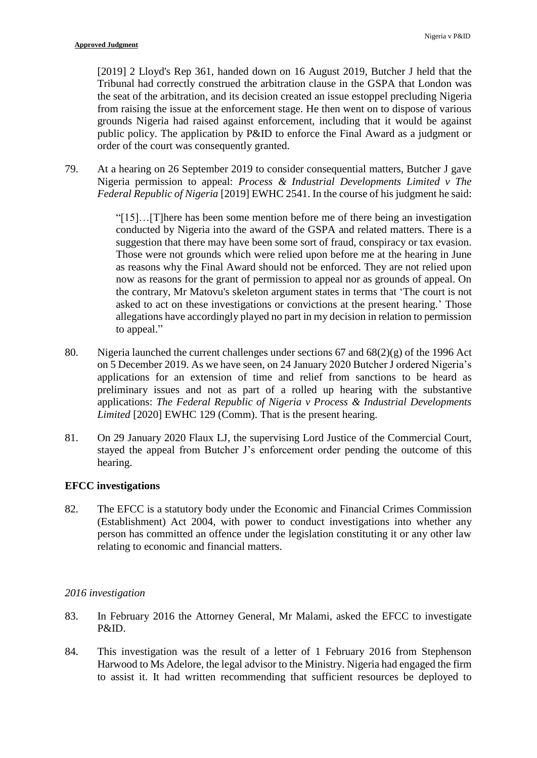[2019] 2 Lloyd's Rep 361, handed down on 16 August 2019, Butcher J held that the Tribunal had correctly construed the arbitration clause in the GSPA that London was the seat of the arbitration, and its decision created an issue estoppel precluding Nigeria from raising the issue at the enforcement stage. He then went on to dispose of various grounds Nigeria had raised against enforcement, including that it would be against public policy. The application by P&ID to enforce the Final Award as a judgment or order of the court was consequently granted.

79. At a hearing on 26 September 2019 to consider consequential matters, Butcher J gave Nigeria permission to appeal: *Process & Industrial Developments Limited v The Federal Republic of Nigeria* [2019] EWHC 2541. In the course of his judgment he said:

> "[15]…[T]here has been some mention before me of there being an investigation conducted by Nigeria into the award of the GSPA and related matters. There is a suggestion that there may have been some sort of fraud, conspiracy or tax evasion. Those were not grounds which were relied upon before me at the hearing in June as reasons why the Final Award should not be enforced. They are not relied upon now as reasons for the grant of permission to appeal nor as grounds of appeal. On the contrary, Mr Matovu's skeleton argument states in terms that 'The court is not asked to act on these investigations or convictions at the present hearing.' Those allegations have accordingly played no part in my decision in relation to permission to appeal."

- 80. Nigeria launched the current challenges under sections 67 and 68(2)(g) of the 1996 Act on 5 December 2019. As we have seen, on 24 January 2020 Butcher J ordered Nigeria's applications for an extension of time and relief from sanctions to be heard as preliminary issues and not as part of a rolled up hearing with the substantive applications: *The Federal Republic of Nigeria v Process & Industrial Developments Limited* [2020] EWHC 129 (Comm). That is the present hearing.
- 81. On 29 January 2020 Flaux LJ, the supervising Lord Justice of the Commercial Court, stayed the appeal from Butcher J's enforcement order pending the outcome of this hearing.

# **EFCC investigations**

82. The EFCC is a statutory body under the Economic and Financial Crimes Commission (Establishment) Act 2004, with power to conduct investigations into whether any person has committed an offence under the legislation constituting it or any other law relating to economic and financial matters.

## *2016 investigation*

- 83. In February 2016 the Attorney General, Mr Malami, asked the EFCC to investigate P&ID.
- 84. This investigation was the result of a letter of 1 February 2016 from Stephenson Harwood to Ms Adelore, the legal advisor to the Ministry. Nigeria had engaged the firm to assist it. It had written recommending that sufficient resources be deployed to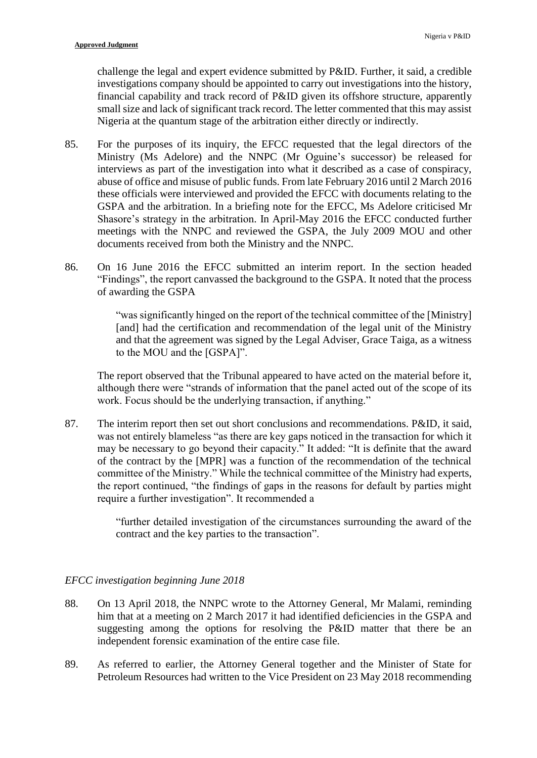challenge the legal and expert evidence submitted by P&ID. Further, it said, a credible investigations company should be appointed to carry out investigations into the history, financial capability and track record of P&ID given its offshore structure, apparently small size and lack of significant track record. The letter commented that this may assist Nigeria at the quantum stage of the arbitration either directly or indirectly.

- 85. For the purposes of its inquiry, the EFCC requested that the legal directors of the Ministry (Ms Adelore) and the NNPC (Mr Oguine's successor) be released for interviews as part of the investigation into what it described as a case of conspiracy, abuse of office and misuse of public funds. From late February 2016 until 2 March 2016 these officials were interviewed and provided the EFCC with documents relating to the GSPA and the arbitration. In a briefing note for the EFCC, Ms Adelore criticised Mr Shasore's strategy in the arbitration. In April-May 2016 the EFCC conducted further meetings with the NNPC and reviewed the GSPA, the July 2009 MOU and other documents received from both the Ministry and the NNPC.
- 86. On 16 June 2016 the EFCC submitted an interim report. In the section headed "Findings", the report canvassed the background to the GSPA. It noted that the process of awarding the GSPA

"was significantly hinged on the report of the technical committee of the [Ministry] [and] had the certification and recommendation of the legal unit of the Ministry and that the agreement was signed by the Legal Adviser, Grace Taiga, as a witness to the MOU and the [GSPA]".

The report observed that the Tribunal appeared to have acted on the material before it, although there were "strands of information that the panel acted out of the scope of its work. Focus should be the underlying transaction, if anything."

87. The interim report then set out short conclusions and recommendations. P&ID, it said, was not entirely blameless "as there are key gaps noticed in the transaction for which it may be necessary to go beyond their capacity." It added: "It is definite that the award of the contract by the [MPR] was a function of the recommendation of the technical committee of the Ministry." While the technical committee of the Ministry had experts, the report continued, "the findings of gaps in the reasons for default by parties might require a further investigation". It recommended a

> "further detailed investigation of the circumstances surrounding the award of the contract and the key parties to the transaction".

# *EFCC investigation beginning June 2018*

- 88. On 13 April 2018, the NNPC wrote to the Attorney General, Mr Malami, reminding him that at a meeting on 2 March 2017 it had identified deficiencies in the GSPA and suggesting among the options for resolving the P&ID matter that there be an independent forensic examination of the entire case file.
- 89. As referred to earlier, the Attorney General together and the Minister of State for Petroleum Resources had written to the Vice President on 23 May 2018 recommending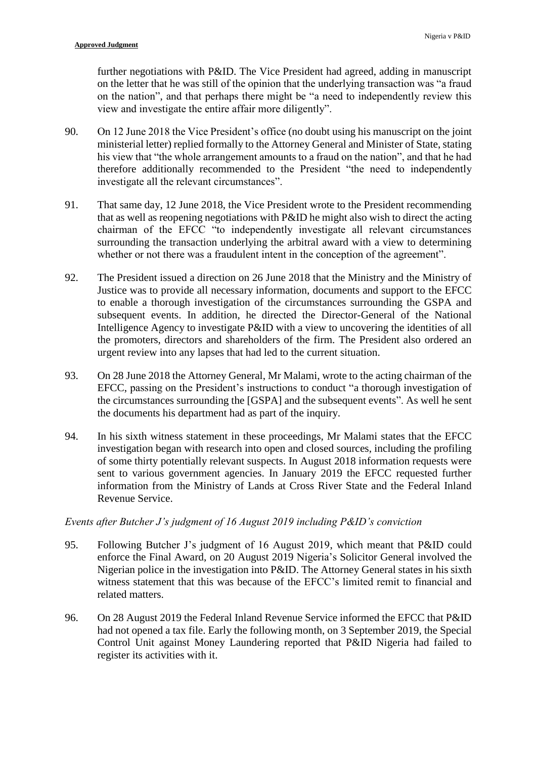further negotiations with P&ID. The Vice President had agreed, adding in manuscript on the letter that he was still of the opinion that the underlying transaction was "a fraud on the nation", and that perhaps there might be "a need to independently review this view and investigate the entire affair more diligently".

- 90. On 12 June 2018 the Vice President's office (no doubt using his manuscript on the joint ministerial letter) replied formally to the Attorney General and Minister of State, stating his view that "the whole arrangement amounts to a fraud on the nation", and that he had therefore additionally recommended to the President "the need to independently investigate all the relevant circumstances".
- 91. That same day, 12 June 2018, the Vice President wrote to the President recommending that as well as reopening negotiations with P&ID he might also wish to direct the acting chairman of the EFCC "to independently investigate all relevant circumstances surrounding the transaction underlying the arbitral award with a view to determining whether or not there was a fraudulent intent in the conception of the agreement".
- 92. The President issued a direction on 26 June 2018 that the Ministry and the Ministry of Justice was to provide all necessary information, documents and support to the EFCC to enable a thorough investigation of the circumstances surrounding the GSPA and subsequent events. In addition, he directed the Director-General of the National Intelligence Agency to investigate P&ID with a view to uncovering the identities of all the promoters, directors and shareholders of the firm. The President also ordered an urgent review into any lapses that had led to the current situation.
- 93. On 28 June 2018 the Attorney General, Mr Malami, wrote to the acting chairman of the EFCC, passing on the President's instructions to conduct "a thorough investigation of the circumstances surrounding the [GSPA] and the subsequent events". As well he sent the documents his department had as part of the inquiry.
- 94. In his sixth witness statement in these proceedings, Mr Malami states that the EFCC investigation began with research into open and closed sources, including the profiling of some thirty potentially relevant suspects. In August 2018 information requests were sent to various government agencies. In January 2019 the EFCC requested further information from the Ministry of Lands at Cross River State and the Federal Inland Revenue Service.

# *Events after Butcher J's judgment of 16 August 2019 including P&ID's conviction*

- 95. Following Butcher J's judgment of 16 August 2019, which meant that P&ID could enforce the Final Award, on 20 August 2019 Nigeria's Solicitor General involved the Nigerian police in the investigation into P&ID. The Attorney General states in his sixth witness statement that this was because of the EFCC's limited remit to financial and related matters.
- 96. On 28 August 2019 the Federal Inland Revenue Service informed the EFCC that P&ID had not opened a tax file. Early the following month, on 3 September 2019, the Special Control Unit against Money Laundering reported that P&ID Nigeria had failed to register its activities with it.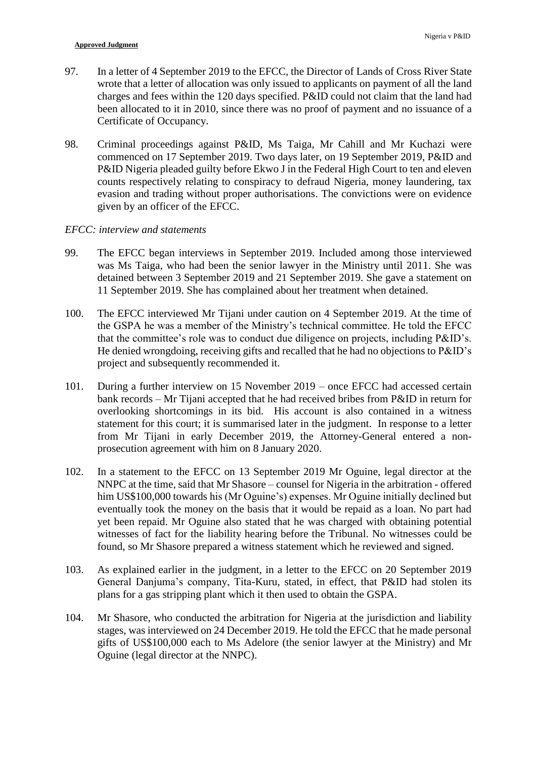- 97. In a letter of 4 September 2019 to the EFCC, the Director of Lands of Cross River State wrote that a letter of allocation was only issued to applicants on payment of all the land charges and fees within the 120 days specified. P&ID could not claim that the land had been allocated to it in 2010, since there was no proof of payment and no issuance of a Certificate of Occupancy.
- 98. Criminal proceedings against P&ID, Ms Taiga, Mr Cahill and Mr Kuchazi were commenced on 17 September 2019. Two days later, on 19 September 2019, P&ID and P&ID Nigeria pleaded guilty before Ekwo J in the Federal High Court to ten and eleven counts respectively relating to conspiracy to defraud Nigeria, money laundering, tax evasion and trading without proper authorisations. The convictions were on evidence given by an officer of the EFCC.

# *EFCC: interview and statements*

- 99. The EFCC began interviews in September 2019. Included among those interviewed was Ms Taiga, who had been the senior lawyer in the Ministry until 2011. She was detained between 3 September 2019 and 21 September 2019. She gave a statement on 11 September 2019. She has complained about her treatment when detained.
- 100. The EFCC interviewed Mr Tijani under caution on 4 September 2019. At the time of the GSPA he was a member of the Ministry's technical committee. He told the EFCC that the committee's role was to conduct due diligence on projects, including P&ID's. He denied wrongdoing, receiving gifts and recalled that he had no objections to P&ID's project and subsequently recommended it.
- 101. During a further interview on 15 November 2019 once EFCC had accessed certain bank records – Mr Tijani accepted that he had received bribes from P&ID in return for overlooking shortcomings in its bid. His account is also contained in a witness statement for this court; it is summarised later in the judgment. In response to a letter from Mr Tijani in early December 2019, the Attorney-General entered a nonprosecution agreement with him on 8 January 2020.
- 102. In a statement to the EFCC on 13 September 2019 Mr Oguine, legal director at the NNPC at the time, said that Mr Shasore – counsel for Nigeria in the arbitration - offered him US\$100,000 towards his (Mr Oguine's) expenses. Mr Oguine initially declined but eventually took the money on the basis that it would be repaid as a loan. No part had yet been repaid. Mr Oguine also stated that he was charged with obtaining potential witnesses of fact for the liability hearing before the Tribunal. No witnesses could be found, so Mr Shasore prepared a witness statement which he reviewed and signed.
- 103. As explained earlier in the judgment, in a letter to the EFCC on 20 September 2019 General Danjuma's company, Tita-Kuru, stated, in effect, that P&ID had stolen its plans for a gas stripping plant which it then used to obtain the GSPA.
- 104. Mr Shasore, who conducted the arbitration for Nigeria at the jurisdiction and liability stages, was interviewed on 24 December 2019. He told the EFCC that he made personal gifts of US\$100,000 each to Ms Adelore (the senior lawyer at the Ministry) and Mr Oguine (legal director at the NNPC).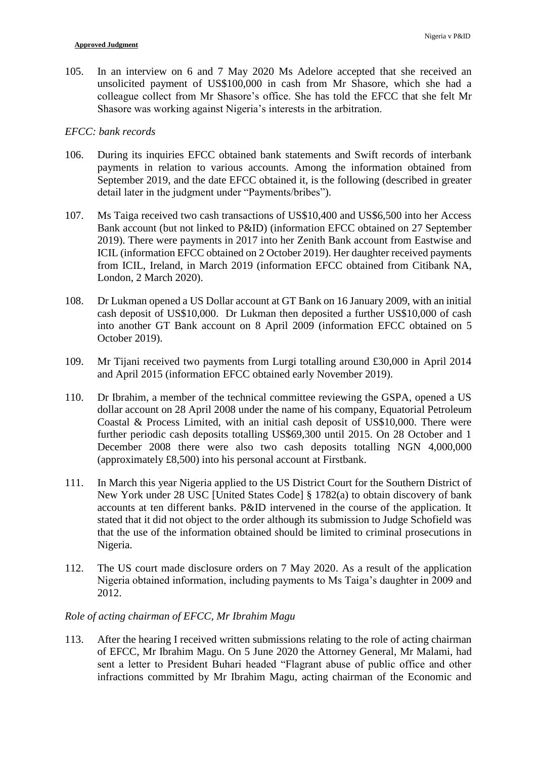105. In an interview on 6 and 7 May 2020 Ms Adelore accepted that she received an unsolicited payment of US\$100,000 in cash from Mr Shasore, which she had a colleague collect from Mr Shasore's office. She has told the EFCC that she felt Mr Shasore was working against Nigeria's interests in the arbitration.

### *EFCC: bank records*

- 106. During its inquiries EFCC obtained bank statements and Swift records of interbank payments in relation to various accounts. Among the information obtained from September 2019, and the date EFCC obtained it, is the following (described in greater detail later in the judgment under "Payments/bribes").
- 107. Ms Taiga received two cash transactions of US\$10,400 and US\$6,500 into her Access Bank account (but not linked to P&ID) (information EFCC obtained on 27 September 2019). There were payments in 2017 into her Zenith Bank account from Eastwise and ICIL (information EFCC obtained on 2 October 2019). Her daughter received payments from ICIL, Ireland, in March 2019 (information EFCC obtained from Citibank NA, London, 2 March 2020).
- 108. Dr Lukman opened a US Dollar account at GT Bank on 16 January 2009, with an initial cash deposit of US\$10,000. Dr Lukman then deposited a further US\$10,000 of cash into another GT Bank account on 8 April 2009 (information EFCC obtained on 5 October 2019).
- 109. Mr Tijani received two payments from Lurgi totalling around £30,000 in April 2014 and April 2015 (information EFCC obtained early November 2019).
- 110. Dr Ibrahim, a member of the technical committee reviewing the GSPA, opened a US dollar account on 28 April 2008 under the name of his company, Equatorial Petroleum Coastal & Process Limited, with an initial cash deposit of US\$10,000. There were further periodic cash deposits totalling US\$69,300 until 2015. On 28 October and 1 December 2008 there were also two cash deposits totalling NGN 4,000,000 (approximately £8,500) into his personal account at Firstbank.
- 111. In March this year Nigeria applied to the US District Court for the Southern District of New York under 28 USC [United States Code] § 1782(a) to obtain discovery of bank accounts at ten different banks. P&ID intervened in the course of the application. It stated that it did not object to the order although its submission to Judge Schofield was that the use of the information obtained should be limited to criminal prosecutions in Nigeria.
- 112. The US court made disclosure orders on 7 May 2020. As a result of the application Nigeria obtained information, including payments to Ms Taiga's daughter in 2009 and 2012.

## *Role of acting chairman of EFCC, Mr Ibrahim Magu*

113. After the hearing I received written submissions relating to the role of acting chairman of EFCC, Mr Ibrahim Magu. On 5 June 2020 the Attorney General, Mr Malami, had sent a letter to President Buhari headed "Flagrant abuse of public office and other infractions committed by Mr Ibrahim Magu, acting chairman of the Economic and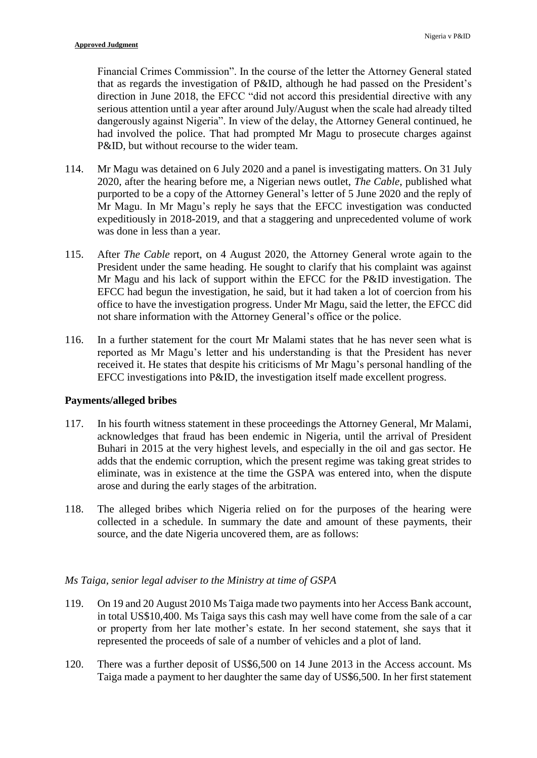Financial Crimes Commission". In the course of the letter the Attorney General stated that as regards the investigation of P&ID, although he had passed on the President's direction in June 2018, the EFCC "did not accord this presidential directive with any serious attention until a year after around July/August when the scale had already tilted dangerously against Nigeria". In view of the delay, the Attorney General continued, he had involved the police. That had prompted Mr Magu to prosecute charges against P&ID, but without recourse to the wider team.

- 114. Mr Magu was detained on 6 July 2020 and a panel is investigating matters. On 31 July 2020, after the hearing before me, a Nigerian news outlet, *The Cable*, published what purported to be a copy of the Attorney General's letter of 5 June 2020 and the reply of Mr Magu. In Mr Magu's reply he says that the EFCC investigation was conducted expeditiously in 2018-2019, and that a staggering and unprecedented volume of work was done in less than a year.
- 115. After *The Cable* report, on 4 August 2020, the Attorney General wrote again to the President under the same heading. He sought to clarify that his complaint was against Mr Magu and his lack of support within the EFCC for the P&ID investigation. The EFCC had begun the investigation, he said, but it had taken a lot of coercion from his office to have the investigation progress. Under Mr Magu, said the letter, the EFCC did not share information with the Attorney General's office or the police.
- 116. In a further statement for the court Mr Malami states that he has never seen what is reported as Mr Magu's letter and his understanding is that the President has never received it. He states that despite his criticisms of Mr Magu's personal handling of the EFCC investigations into P&ID, the investigation itself made excellent progress.

# **Payments/alleged bribes**

- 117. In his fourth witness statement in these proceedings the Attorney General, Mr Malami, acknowledges that fraud has been endemic in Nigeria, until the arrival of President Buhari in 2015 at the very highest levels, and especially in the oil and gas sector. He adds that the endemic corruption, which the present regime was taking great strides to eliminate, was in existence at the time the GSPA was entered into, when the dispute arose and during the early stages of the arbitration.
- 118. The alleged bribes which Nigeria relied on for the purposes of the hearing were collected in a schedule. In summary the date and amount of these payments, their source, and the date Nigeria uncovered them, are as follows:

## *Ms Taiga, senior legal adviser to the Ministry at time of GSPA*

- 119. On 19 and 20 August 2010 Ms Taiga made two payments into her Access Bank account, in total US\$10,400. Ms Taiga says this cash may well have come from the sale of a car or property from her late mother's estate. In her second statement, she says that it represented the proceeds of sale of a number of vehicles and a plot of land.
- 120. There was a further deposit of US\$6,500 on 14 June 2013 in the Access account. Ms Taiga made a payment to her daughter the same day of US\$6,500. In her first statement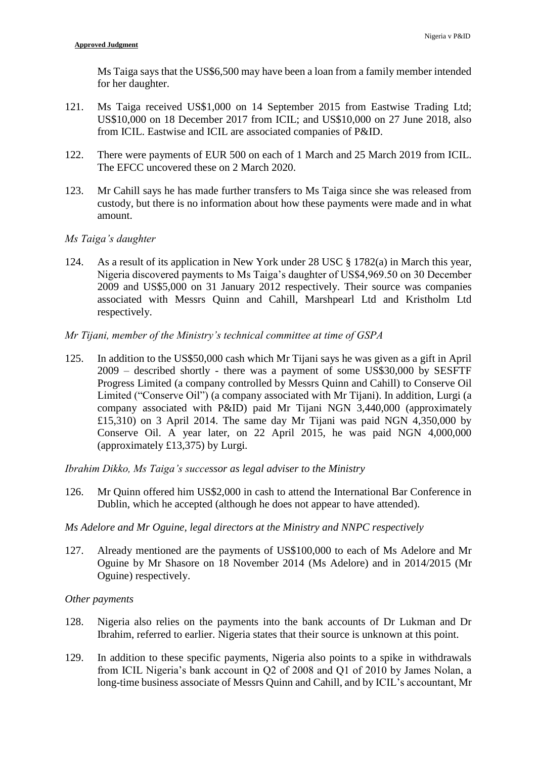Ms Taiga says that the US\$6,500 may have been a loan from a family member intended for her daughter.

- 121. Ms Taiga received US\$1,000 on 14 September 2015 from Eastwise Trading Ltd; US\$10,000 on 18 December 2017 from ICIL; and US\$10,000 on 27 June 2018, also from ICIL. Eastwise and ICIL are associated companies of P&ID.
- 122. There were payments of EUR 500 on each of 1 March and 25 March 2019 from ICIL. The EFCC uncovered these on 2 March 2020.
- 123. Mr Cahill says he has made further transfers to Ms Taiga since she was released from custody, but there is no information about how these payments were made and in what amount.

# *Ms Taiga's daughter*

124. As a result of its application in New York under 28 USC § 1782(a) in March this year, Nigeria discovered payments to Ms Taiga's daughter of US\$4,969.50 on 30 December 2009 and US\$5,000 on 31 January 2012 respectively. Their source was companies associated with Messrs Quinn and Cahill, Marshpearl Ltd and Kristholm Ltd respectively.

## *Mr Tijani, member of the Ministry's technical committee at time of GSPA*

125. In addition to the US\$50,000 cash which Mr Tijani says he was given as a gift in April 2009 – described shortly - there was a payment of some US\$30,000 by SESFTF Progress Limited (a company controlled by Messrs Quinn and Cahill) to Conserve Oil Limited ("Conserve Oil") (a company associated with Mr Tijani). In addition, Lurgi (a company associated with P&ID) paid Mr Tijani NGN 3,440,000 (approximately £15,310) on 3 April 2014. The same day Mr Tijani was paid NGN 4,350,000 by Conserve Oil. A year later, on 22 April 2015, he was paid NGN 4,000,000 (approximately £13,375) by Lurgi.

*Ibrahim Dikko, Ms Taiga's successor as legal adviser to the Ministry*

126. Mr Quinn offered him US\$2,000 in cash to attend the International Bar Conference in Dublin, which he accepted (although he does not appear to have attended).

## *Ms Adelore and Mr Oguine, legal directors at the Ministry and NNPC respectively*

127. Already mentioned are the payments of US\$100,000 to each of Ms Adelore and Mr Oguine by Mr Shasore on 18 November 2014 (Ms Adelore) and in 2014/2015 (Mr Oguine) respectively.

## *Other payments*

- 128. Nigeria also relies on the payments into the bank accounts of Dr Lukman and Dr Ibrahim, referred to earlier. Nigeria states that their source is unknown at this point.
- 129. In addition to these specific payments, Nigeria also points to a spike in withdrawals from ICIL Nigeria's bank account in Q2 of 2008 and Q1 of 2010 by James Nolan, a long-time business associate of Messrs Quinn and Cahill, and by ICIL's accountant, Mr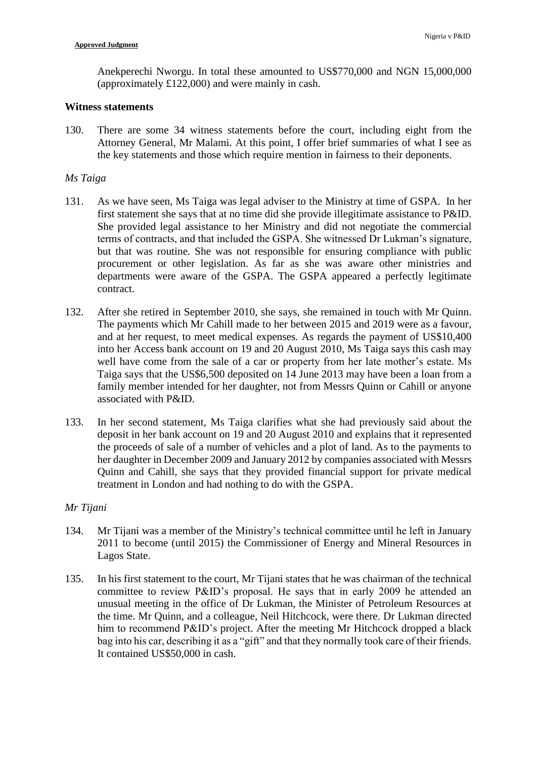Anekperechi Nworgu. In total these amounted to US\$770,000 and NGN 15,000,000 (approximately £122,000) and were mainly in cash.

#### **Witness statements**

130. There are some 34 witness statements before the court, including eight from the Attorney General, Mr Malami. At this point, I offer brief summaries of what I see as the key statements and those which require mention in fairness to their deponents.

#### *Ms Taiga*

- 131. As we have seen, Ms Taiga was legal adviser to the Ministry at time of GSPA. In her first statement she says that at no time did she provide illegitimate assistance to P&ID. She provided legal assistance to her Ministry and did not negotiate the commercial terms of contracts, and that included the GSPA. She witnessed Dr Lukman's signature, but that was routine. She was not responsible for ensuring compliance with public procurement or other legislation. As far as she was aware other ministries and departments were aware of the GSPA. The GSPA appeared a perfectly legitimate contract.
- 132. After she retired in September 2010, she says, she remained in touch with Mr Quinn. The payments which Mr Cahill made to her between 2015 and 2019 were as a favour, and at her request, to meet medical expenses. As regards the payment of US\$10,400 into her Access bank account on 19 and 20 August 2010, Ms Taiga says this cash may well have come from the sale of a car or property from her late mother's estate. Ms Taiga says that the US\$6,500 deposited on 14 June 2013 may have been a loan from a family member intended for her daughter, not from Messrs Quinn or Cahill or anyone associated with P&ID.
- 133. In her second statement, Ms Taiga clarifies what she had previously said about the deposit in her bank account on 19 and 20 August 2010 and explains that it represented the proceeds of sale of a number of vehicles and a plot of land. As to the payments to her daughter in December 2009 and January 2012 by companies associated with Messrs Quinn and Cahill, she says that they provided financial support for private medical treatment in London and had nothing to do with the GSPA.

### *Mr Tijani*

- 134. Mr Tijani was a member of the Ministry's technical committee until he left in January 2011 to become (until 2015) the Commissioner of Energy and Mineral Resources in Lagos State.
- 135. In his first statement to the court, Mr Tijani states that he was chairman of the technical committee to review P&ID's proposal. He says that in early 2009 he attended an unusual meeting in the office of Dr Lukman, the Minister of Petroleum Resources at the time. Mr Quinn, and a colleague, Neil Hitchcock, were there. Dr Lukman directed him to recommend P&ID's project. After the meeting Mr Hitchcock dropped a black bag into his car, describing it as a "gift" and that they normally took care of their friends. It contained US\$50,000 in cash.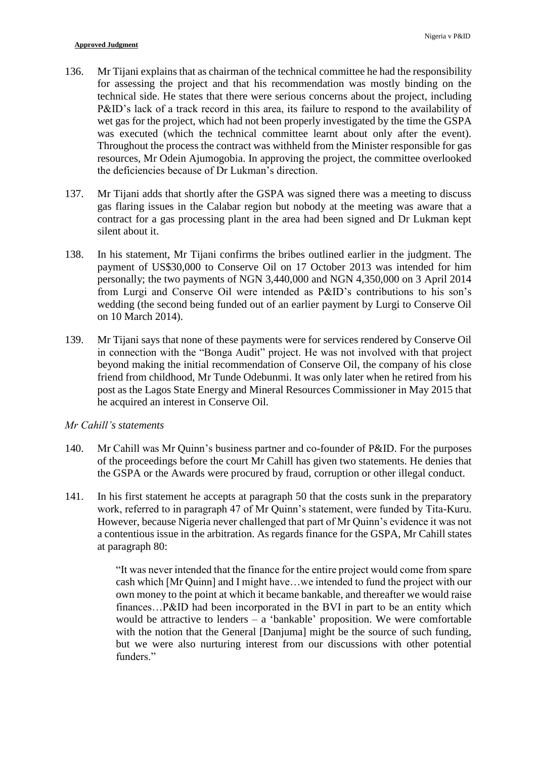- 136. Mr Tijani explains that as chairman of the technical committee he had the responsibility for assessing the project and that his recommendation was mostly binding on the technical side. He states that there were serious concerns about the project, including P&ID's lack of a track record in this area, its failure to respond to the availability of wet gas for the project, which had not been properly investigated by the time the GSPA was executed (which the technical committee learnt about only after the event). Throughout the process the contract was withheld from the Minister responsible for gas resources, Mr Odein Ajumogobia. In approving the project, the committee overlooked the deficiencies because of Dr Lukman's direction.
- 137. Mr Tijani adds that shortly after the GSPA was signed there was a meeting to discuss gas flaring issues in the Calabar region but nobody at the meeting was aware that a contract for a gas processing plant in the area had been signed and Dr Lukman kept silent about it.
- 138. In his statement, Mr Tijani confirms the bribes outlined earlier in the judgment. The payment of US\$30,000 to Conserve Oil on 17 October 2013 was intended for him personally; the two payments of NGN 3,440,000 and NGN 4,350,000 on 3 April 2014 from Lurgi and Conserve Oil were intended as P&ID's contributions to his son's wedding (the second being funded out of an earlier payment by Lurgi to Conserve Oil on 10 March 2014).
- 139. Mr Tijani says that none of these payments were for services rendered by Conserve Oil in connection with the "Bonga Audit" project. He was not involved with that project beyond making the initial recommendation of Conserve Oil, the company of his close friend from childhood, Mr Tunde Odebunmi. It was only later when he retired from his post as the Lagos State Energy and Mineral Resources Commissioner in May 2015 that he acquired an interest in Conserve Oil.

#### *Mr Cahill's statements*

- 140. Mr Cahill was Mr Quinn's business partner and co-founder of P&ID. For the purposes of the proceedings before the court Mr Cahill has given two statements. He denies that the GSPA or the Awards were procured by fraud, corruption or other illegal conduct.
- 141. In his first statement he accepts at paragraph 50 that the costs sunk in the preparatory work, referred to in paragraph 47 of Mr Quinn's statement, were funded by Tita-Kuru. However, because Nigeria never challenged that part of Mr Quinn's evidence it was not a contentious issue in the arbitration. As regards finance for the GSPA, Mr Cahill states at paragraph 80:

"It was never intended that the finance for the entire project would come from spare cash which [Mr Quinn] and I might have…we intended to fund the project with our own money to the point at which it became bankable, and thereafter we would raise finances…P&ID had been incorporated in the BVI in part to be an entity which would be attractive to lenders  $-$  a 'bankable' proposition. We were comfortable with the notion that the General [Danjuma] might be the source of such funding, but we were also nurturing interest from our discussions with other potential funders."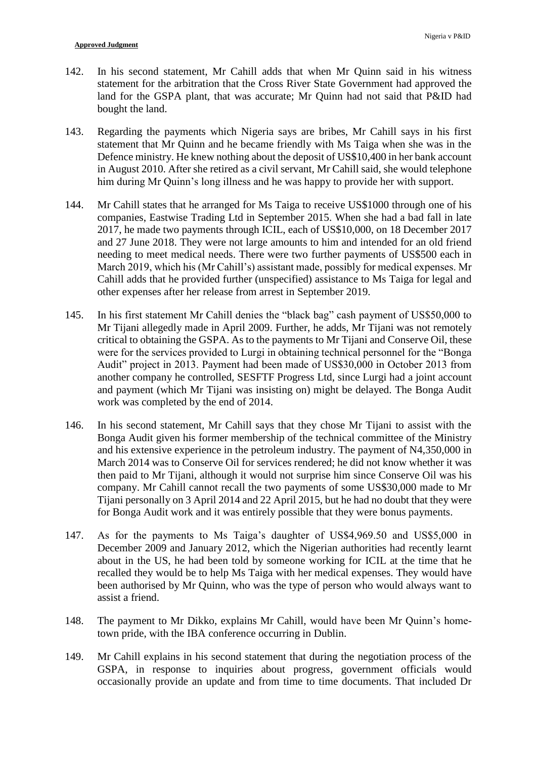- 142. In his second statement, Mr Cahill adds that when Mr Quinn said in his witness statement for the arbitration that the Cross River State Government had approved the land for the GSPA plant, that was accurate; Mr Quinn had not said that P&ID had bought the land.
- 143. Regarding the payments which Nigeria says are bribes, Mr Cahill says in his first statement that Mr Quinn and he became friendly with Ms Taiga when she was in the Defence ministry. He knew nothing about the deposit of US\$10,400 in her bank account in August 2010. After she retired as a civil servant, Mr Cahill said, she would telephone him during Mr Quinn's long illness and he was happy to provide her with support.
- 144. Mr Cahill states that he arranged for Ms Taiga to receive US\$1000 through one of his companies, Eastwise Trading Ltd in September 2015. When she had a bad fall in late 2017, he made two payments through ICIL, each of US\$10,000, on 18 December 2017 and 27 June 2018. They were not large amounts to him and intended for an old friend needing to meet medical needs. There were two further payments of US\$500 each in March 2019, which his (Mr Cahill's) assistant made, possibly for medical expenses. Mr Cahill adds that he provided further (unspecified) assistance to Ms Taiga for legal and other expenses after her release from arrest in September 2019.
- 145. In his first statement Mr Cahill denies the "black bag" cash payment of US\$50,000 to Mr Tijani allegedly made in April 2009. Further, he adds, Mr Tijani was not remotely critical to obtaining the GSPA. As to the payments to Mr Tijani and Conserve Oil, these were for the services provided to Lurgi in obtaining technical personnel for the "Bonga Audit" project in 2013. Payment had been made of US\$30,000 in October 2013 from another company he controlled, SESFTF Progress Ltd, since Lurgi had a joint account and payment (which Mr Tijani was insisting on) might be delayed. The Bonga Audit work was completed by the end of 2014.
- 146. In his second statement, Mr Cahill says that they chose Mr Tijani to assist with the Bonga Audit given his former membership of the technical committee of the Ministry and his extensive experience in the petroleum industry. The payment of N4,350,000 in March 2014 was to Conserve Oil for services rendered; he did not know whether it was then paid to Mr Tijani, although it would not surprise him since Conserve Oil was his company. Mr Cahill cannot recall the two payments of some US\$30,000 made to Mr Tijani personally on 3 April 2014 and 22 April 2015, but he had no doubt that they were for Bonga Audit work and it was entirely possible that they were bonus payments.
- 147. As for the payments to Ms Taiga's daughter of US\$4,969.50 and US\$5,000 in December 2009 and January 2012, which the Nigerian authorities had recently learnt about in the US, he had been told by someone working for ICIL at the time that he recalled they would be to help Ms Taiga with her medical expenses. They would have been authorised by Mr Quinn, who was the type of person who would always want to assist a friend.
- 148. The payment to Mr Dikko, explains Mr Cahill, would have been Mr Quinn's hometown pride, with the IBA conference occurring in Dublin.
- 149. Mr Cahill explains in his second statement that during the negotiation process of the GSPA, in response to inquiries about progress, government officials would occasionally provide an update and from time to time documents. That included Dr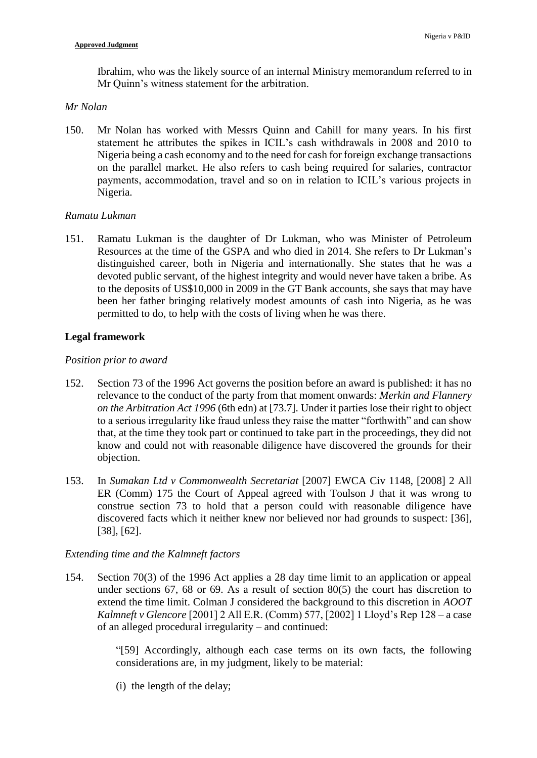Ibrahim, who was the likely source of an internal Ministry memorandum referred to in Mr Quinn's witness statement for the arbitration.

## *Mr Nolan*

150. Mr Nolan has worked with Messrs Quinn and Cahill for many years. In his first statement he attributes the spikes in ICIL's cash withdrawals in 2008 and 2010 to Nigeria being a cash economy and to the need for cash for foreign exchange transactions on the parallel market. He also refers to cash being required for salaries, contractor payments, accommodation, travel and so on in relation to ICIL's various projects in Nigeria.

## *Ramatu Lukman*

151. Ramatu Lukman is the daughter of Dr Lukman, who was Minister of Petroleum Resources at the time of the GSPA and who died in 2014. She refers to Dr Lukman's distinguished career, both in Nigeria and internationally. She states that he was a devoted public servant, of the highest integrity and would never have taken a bribe. As to the deposits of US\$10,000 in 2009 in the GT Bank accounts, she says that may have been her father bringing relatively modest amounts of cash into Nigeria, as he was permitted to do, to help with the costs of living when he was there.

# **Legal framework**

## *Position prior to award*

- 152. Section 73 of the 1996 Act governs the position before an award is published: it has no relevance to the conduct of the party from that moment onwards: *Merkin and Flannery on the Arbitration Act 1996* (6th edn) at [73.7]. Under it parties lose their right to object to a serious irregularity like fraud unless they raise the matter "forthwith" and can show that, at the time they took part or continued to take part in the proceedings, they did not know and could not with reasonable diligence have discovered the grounds for their objection.
- 153. In *Sumakan Ltd v Commonwealth Secretariat* [2007] EWCA Civ 1148, [2008] 2 All ER (Comm) 175 the Court of Appeal agreed with Toulson J that it was wrong to construe section 73 to hold that a person could with reasonable diligence have discovered facts which it neither knew nor believed nor had grounds to suspect: [36], [38], [62].

## *Extending time and the Kalmneft factors*

154. Section 70(3) of the 1996 Act applies a 28 day time limit to an application or appeal under sections 67, 68 or 69. As a result of section 80(5) the court has discretion to extend the time limit. Colman J considered the background to this discretion in *AOOT Kalmneft v Glencore* [2001] 2 All E.R. (Comm) 577, [2002] 1 Lloyd's Rep 128 – a case of an alleged procedural irregularity – and continued:

> "[59] Accordingly, although each case terms on its own facts, the following considerations are, in my judgment, likely to be material:

(i) the length of the delay;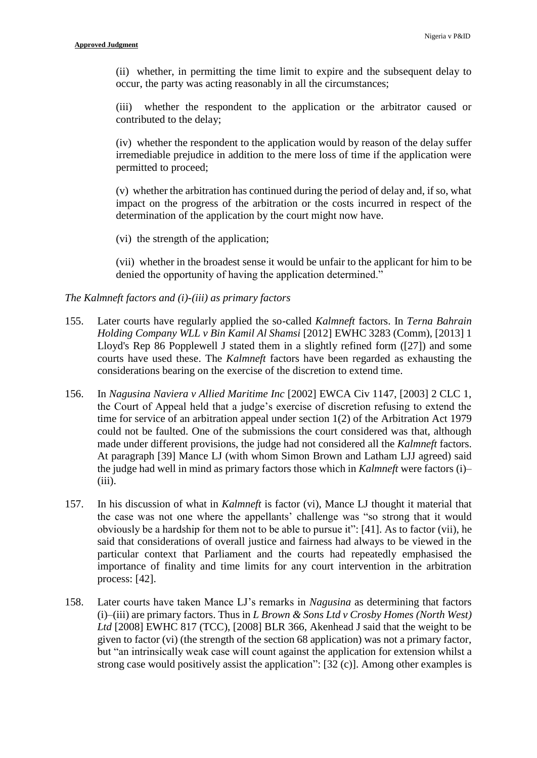(ii) whether, in permitting the time limit to expire and the subsequent delay to occur, the party was acting reasonably in all the circumstances;

(iii) whether the respondent to the application or the arbitrator caused or contributed to the delay;

(iv) whether the respondent to the application would by reason of the delay suffer irremediable prejudice in addition to the mere loss of time if the application were permitted to proceed;

(v) whether the arbitration has continued during the period of delay and, if so, what impact on the progress of the arbitration or the costs incurred in respect of the determination of the application by the court might now have.

(vi) the strength of the application;

(vii) whether in the broadest sense it would be unfair to the applicant for him to be denied the opportunity of having the application determined."

### *The Kalmneft factors and (i)-(iii) as primary factors*

- 155. Later courts have regularly applied the so-called *Kalmneft* factors. In *Terna Bahrain Holding Company WLL v Bin Kamil Al Shamsi* [2012] EWHC 3283 (Comm), [2013] 1 Lloyd's Rep 86 Popplewell J stated them in a slightly refined form ([27]) and some courts have used these. The *Kalmneft* factors have been regarded as exhausting the considerations bearing on the exercise of the discretion to extend time.
- 156. In *Nagusina Naviera v Allied Maritime Inc* [2002] EWCA Civ 1147, [2003] 2 CLC 1, the Court of Appeal held that a judge's exercise of discretion refusing to extend the time for service of an arbitration appeal under section 1(2) of the Arbitration Act 1979 could not be faulted. One of the submissions the court considered was that, although made under different provisions, the judge had not considered all the *Kalmneft* factors. At paragraph [39] Mance LJ (with whom Simon Brown and Latham LJJ agreed) said the judge had well in mind as primary factors those which in *Kalmneft* were factors (i)–  $(iii)$ .
- 157. In his discussion of what in *Kalmneft* is factor (vi), Mance LJ thought it material that the case was not one where the appellants' challenge was "so strong that it would obviously be a hardship for them not to be able to pursue it": [41]. As to factor (vii), he said that considerations of overall justice and fairness had always to be viewed in the particular context that Parliament and the courts had repeatedly emphasised the importance of finality and time limits for any court intervention in the arbitration process: [42].
- 158. Later courts have taken Mance LJ's remarks in *Nagusina* as determining that factors (i)–(iii) are primary factors. Thus in *L Brown & Sons Ltd v Crosby Homes (North West)*  Ltd <sup>[2008]</sup> EWHC 817 (TCC), <sup>[2008]</sup> BLR 366, Akenhead J said that the weight to be given to factor (vi) (the strength of the section 68 application) was not a primary factor, but "an intrinsically weak case will count against the application for extension whilst a strong case would positively assist the application": [32 (c)]. Among other examples is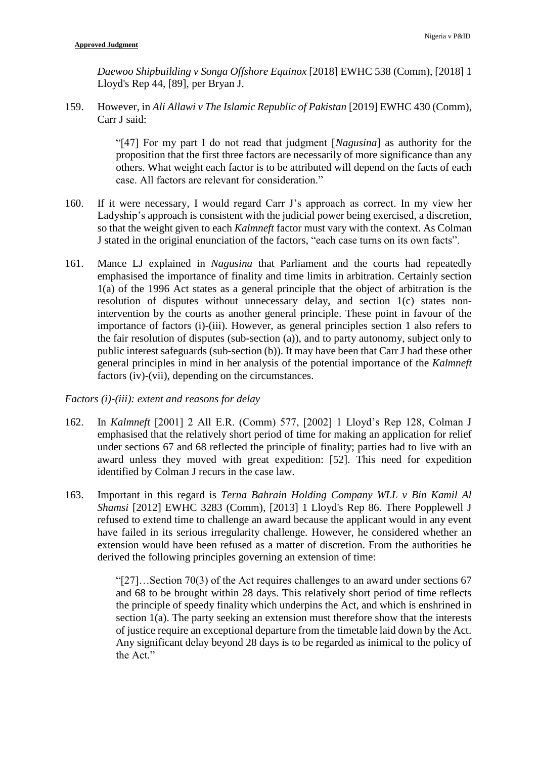*Daewoo Shipbuilding v Songa Offshore Equinox* [2018] EWHC 538 (Comm), [2018] 1 Lloyd's Rep 44, [89], per Bryan J.

159. However, in *Ali Allawi v The Islamic Republic of Pakistan* [2019] EWHC 430 (Comm), Carr J said:

> "[47] For my part I do not read that judgment [*Nagusina*] as authority for the proposition that the first three factors are necessarily of more significance than any others. What weight each factor is to be attributed will depend on the facts of each case. All factors are relevant for consideration."

- 160. If it were necessary, I would regard Carr J's approach as correct. In my view her Ladyship's approach is consistent with the judicial power being exercised, a discretion, so that the weight given to each *Kalmneft* factor must vary with the context. As Colman J stated in the original enunciation of the factors, "each case turns on its own facts".
- 161. Mance LJ explained in *Nagusina* that Parliament and the courts had repeatedly emphasised the importance of finality and time limits in arbitration. Certainly section 1(a) of the 1996 Act states as a general principle that the object of arbitration is the resolution of disputes without unnecessary delay, and section 1(c) states nonintervention by the courts as another general principle. These point in favour of the importance of factors (i)-(iii). However, as general principles section 1 also refers to the fair resolution of disputes (sub-section (a)), and to party autonomy, subject only to public interest safeguards (sub-section (b)). It may have been that Carr J had these other general principles in mind in her analysis of the potential importance of the *Kalmneft* factors (iv)-(vii), depending on the circumstances.

#### *Factors (i)-(iii): extent and reasons for delay*

- 162. In *Kalmneft* [2001] 2 All E.R. (Comm) 577, [2002] 1 Lloyd's Rep 128, Colman J emphasised that the relatively short period of time for making an application for relief under sections 67 and 68 reflected the principle of finality; parties had to live with an award unless they moved with great expedition: [52]. This need for expedition identified by Colman J recurs in the case law.
- 163. Important in this regard is *Terna Bahrain Holding Company WLL v Bin Kamil Al Shamsi* [2012] EWHC 3283 (Comm), [2013] 1 Lloyd's Rep 86. There Popplewell J refused to extend time to challenge an award because the applicant would in any event have failed in its serious irregularity challenge. However, he considered whether an extension would have been refused as a matter of discretion. From the authorities he derived the following principles governing an extension of time:

"[27]…Section 70(3) of the Act requires challenges to an award under sections 67 and 68 to be brought within 28 days. This relatively short period of time reflects the principle of speedy finality which underpins the Act, and which is enshrined in section 1(a). The party seeking an extension must therefore show that the interests of justice require an exceptional departure from the timetable laid down by the Act. Any significant delay beyond 28 days is to be regarded as inimical to the policy of the Act."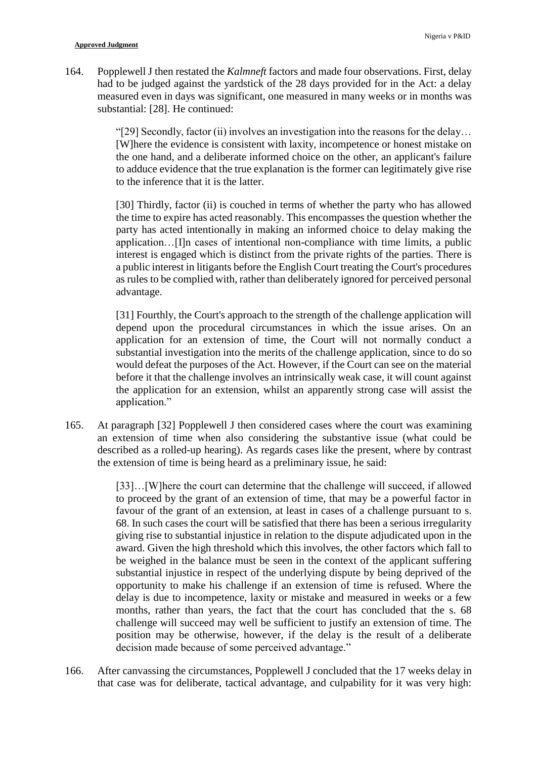164. Popplewell J then restated the *Kalmneft* factors and made four observations. First, delay had to be judged against the yardstick of the 28 days provided for in the Act: a delay measured even in days was significant, one measured in many weeks or in months was substantial: [28]. He continued:

> "[29] Secondly, factor (ii) involves an investigation into the reasons for the delay… [W]here the evidence is consistent with laxity, incompetence or honest mistake on the one hand, and a deliberate informed choice on the other, an applicant's failure to adduce evidence that the true explanation is the former can legitimately give rise to the inference that it is the latter.

> [30] Thirdly, factor (ii) is couched in terms of whether the party who has allowed the time to expire has acted reasonably. This encompasses the question whether the party has acted intentionally in making an informed choice to delay making the application…[I]n cases of intentional non-compliance with time limits, a public interest is engaged which is distinct from the private rights of the parties. There is a public interest in litigants before the English Court treating the Court's procedures as rules to be complied with, rather than deliberately ignored for perceived personal advantage.

> [31] Fourthly, the Court's approach to the strength of the challenge application will depend upon the procedural circumstances in which the issue arises. On an application for an extension of time, the Court will not normally conduct a substantial investigation into the merits of the challenge application, since to do so would defeat the purposes of the Act. However, if the Court can see on the material before it that the challenge involves an intrinsically weak case, it will count against the application for an extension, whilst an apparently strong case will assist the application."

165. At paragraph [32] Popplewell J then considered cases where the court was examining an extension of time when also considering the substantive issue (what could be described as a rolled-up hearing). As regards cases like the present, where by contrast the extension of time is being heard as a preliminary issue, he said:

> [33]…[W]here the court can determine that the challenge will succeed, if allowed to proceed by the grant of an extension of time, that may be a powerful factor in favour of the grant of an extension, at least in cases of a challenge pursuant to s. 68. In such cases the court will be satisfied that there has been a serious irregularity giving rise to substantial injustice in relation to the dispute adjudicated upon in the award. Given the high threshold which this involves, the other factors which fall to be weighed in the balance must be seen in the context of the applicant suffering substantial injustice in respect of the underlying dispute by being deprived of the opportunity to make his challenge if an extension of time is refused. Where the delay is due to incompetence, laxity or mistake and measured in weeks or a few months, rather than years, the fact that the court has concluded that the s. 68 challenge will succeed may well be sufficient to justify an extension of time. The position may be otherwise, however, if the delay is the result of a deliberate decision made because of some perceived advantage."

166. After canvassing the circumstances, Popplewell J concluded that the 17 weeks delay in that case was for deliberate, tactical advantage, and culpability for it was very high: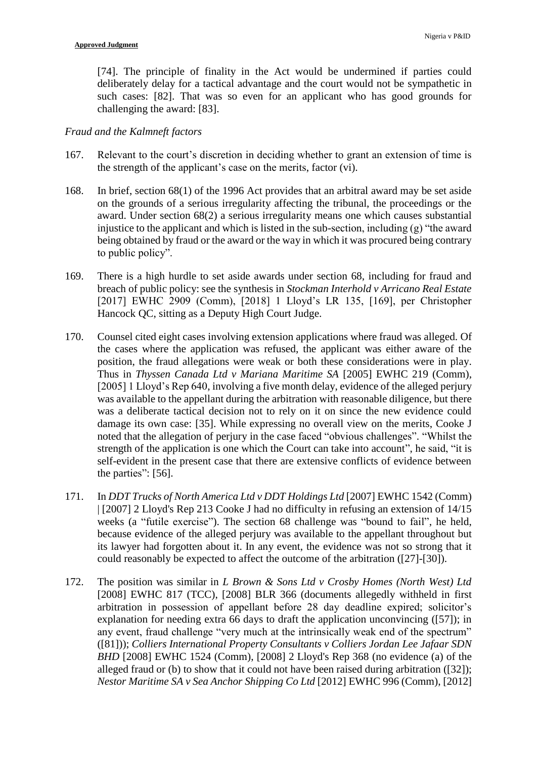[74]. The principle of finality in the Act would be undermined if parties could deliberately delay for a tactical advantage and the court would not be sympathetic in such cases: [82]. That was so even for an applicant who has good grounds for challenging the award: [83].

# *Fraud and the Kalmneft factors*

- 167. Relevant to the court's discretion in deciding whether to grant an extension of time is the strength of the applicant's case on the merits, factor (vi).
- 168. In brief, section 68(1) of the 1996 Act provides that an arbitral award may be set aside on the grounds of a serious irregularity affecting the tribunal, the proceedings or the award. Under section 68(2) a serious irregularity means one which causes substantial injustice to the applicant and which is listed in the sub-section, including (g) "the award being obtained by fraud or the award or the way in which it was procured being contrary to public policy".
- 169. There is a high hurdle to set aside awards under section 68, including for fraud and breach of public policy: see the synthesis in *Stockman Interhold v Arricano Real Estate* [2017] EWHC 2909 (Comm), [2018] 1 Lloyd's LR 135, [169], per Christopher Hancock QC, sitting as a Deputy High Court Judge.
- 170. Counsel cited eight cases involving extension applications where fraud was alleged. Of the cases where the application was refused, the applicant was either aware of the position, the fraud allegations were weak or both these considerations were in play. Thus in *Thyssen Canada Ltd v Mariana Maritime SA* [2005] EWHC 219 (Comm), [2005] 1 Lloyd's Rep 640, involving a five month delay, evidence of the alleged perjury was available to the appellant during the arbitration with reasonable diligence, but there was a deliberate tactical decision not to rely on it on since the new evidence could damage its own case: [35]. While expressing no overall view on the merits, Cooke J noted that the allegation of perjury in the case faced "obvious challenges". "Whilst the strength of the application is one which the Court can take into account", he said, "it is self-evident in the present case that there are extensive conflicts of evidence between the parties": [56].
- 171. In *DDT Trucks of North America Ltd v DDT Holdings Ltd* [2007] EWHC 1542 (Comm) | [2007] 2 Lloyd's Rep 213 Cooke J had no difficulty in refusing an extension of 14/15 weeks (a "futile exercise"). The section 68 challenge was "bound to fail", he held, because evidence of the alleged perjury was available to the appellant throughout but its lawyer had forgotten about it. In any event, the evidence was not so strong that it could reasonably be expected to affect the outcome of the arbitration ([27]-[30]).
- 172. The position was similar in *L Brown & Sons Ltd v Crosby Homes (North West) Ltd* [2008] EWHC 817 (TCC), [2008] BLR 366 (documents allegedly withheld in first arbitration in possession of appellant before 28 day deadline expired; solicitor's explanation for needing extra 66 days to draft the application unconvincing ([57]); in any event, fraud challenge "very much at the intrinsically weak end of the spectrum" ([81])); *Colliers International Property Consultants v Colliers Jordan Lee Jafaar SDN BHD* [2008] EWHC 1524 (Comm), [2008] 2 Lloyd's Rep 368 (no evidence (a) of the alleged fraud or (b) to show that it could not have been raised during arbitration ([32]); *Nestor Maritime SA v Sea Anchor Shipping Co Ltd* [2012] EWHC 996 (Comm), [2012]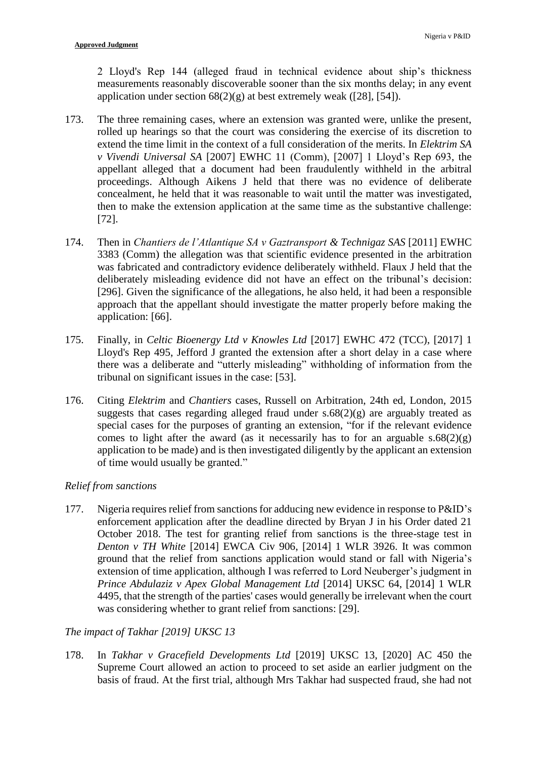2 Lloyd's Rep 144 (alleged fraud in technical evidence about ship's thickness measurements reasonably discoverable sooner than the six months delay; in any event application under section  $68(2)(g)$  at best extremely weak ([28], [54]).

- 173. The three remaining cases, where an extension was granted were, unlike the present, rolled up hearings so that the court was considering the exercise of its discretion to extend the time limit in the context of a full consideration of the merits. In *Elektrim SA v Vivendi Universal SA* [2007] EWHC 11 (Comm), [2007] 1 Lloyd's Rep 693, the appellant alleged that a document had been fraudulently withheld in the arbitral proceedings. Although Aikens J held that there was no evidence of deliberate concealment, he held that it was reasonable to wait until the matter was investigated, then to make the extension application at the same time as the substantive challenge: [72].
- 174. Then in *Chantiers de l'Atlantique SA v Gaztransport & Technigaz SAS* [2011] EWHC 3383 (Comm) the allegation was that scientific evidence presented in the arbitration was fabricated and contradictory evidence deliberately withheld. Flaux J held that the deliberately misleading evidence did not have an effect on the tribunal's decision: [296]. Given the significance of the allegations, he also held, it had been a responsible approach that the appellant should investigate the matter properly before making the application: [66].
- 175. Finally, in *Celtic Bioenergy Ltd v Knowles Ltd* [2017] EWHC 472 (TCC), [2017] 1 Lloyd's Rep 495, Jefford J granted the extension after a short delay in a case where there was a deliberate and "utterly misleading" withholding of information from the tribunal on significant issues in the case: [53].
- 176. Citing *Elektrim* and *Chantiers* cases, Russell on Arbitration, 24th ed, London, 2015 suggests that cases regarding alleged fraud under  $s.68(2)(g)$  are arguably treated as special cases for the purposes of granting an extension, "for if the relevant evidence comes to light after the award (as it necessarily has to for an arguable  $s.68(2)(g)$ ) application to be made) and is then investigated diligently by the applicant an extension of time would usually be granted."

# *Relief from sanctions*

177. Nigeria requires relief from sanctions for adducing new evidence in response to P&ID's enforcement application after the deadline directed by Bryan J in his Order dated 21 October 2018. The test for granting relief from sanctions is the three-stage test in *Denton v TH White* [2014] EWCA Civ 906, [2014] 1 WLR 3926. It was common ground that the relief from sanctions application would stand or fall with Nigeria's extension of time application, although I was referred to Lord Neuberger's judgment in *Prince Abdulaziz v Apex Global Management Ltd* [2014] UKSC 64, [2014] 1 WLR 4495, that the strength of the parties' cases would generally be irrelevant when the court was considering whether to grant relief from sanctions: [29].

# *The impact of Takhar [2019] UKSC 13*

178. In *Takhar v Gracefield Developments Ltd* [2019] UKSC 13, [2020] AC 450 the Supreme Court allowed an action to proceed to set aside an earlier judgment on the basis of fraud. At the first trial, although Mrs Takhar had suspected fraud, she had not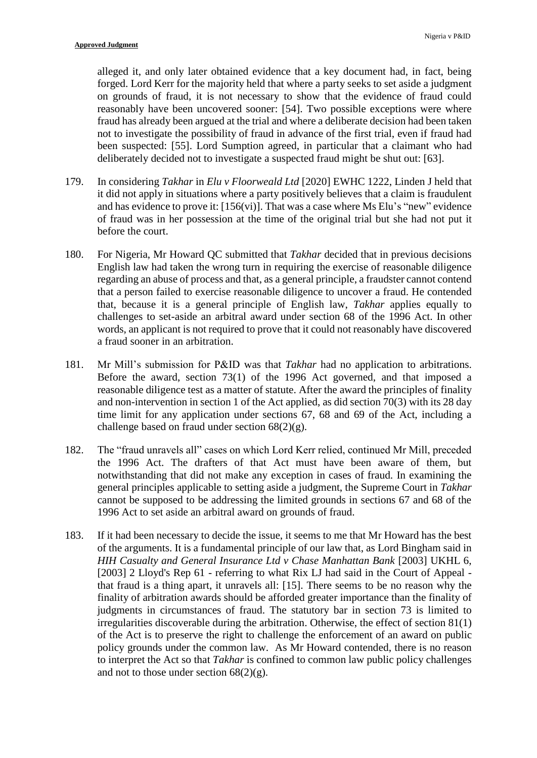alleged it, and only later obtained evidence that a key document had, in fact, being forged. Lord Kerr for the majority held that where a party seeks to set aside a judgment on grounds of fraud, it is not necessary to show that the evidence of fraud could reasonably have been uncovered sooner: [54]. Two possible exceptions were where fraud has already been argued at the trial and where a deliberate decision had been taken not to investigate the possibility of fraud in advance of the first trial, even if fraud had been suspected: [55]. Lord Sumption agreed, in particular that a claimant who had deliberately decided not to investigate a suspected fraud might be shut out: [63].

- 179. In considering *Takhar* in *Elu v Floorweald Ltd* [2020] EWHC 1222, Linden J held that it did not apply in situations where a party positively believes that a claim is fraudulent and has evidence to prove it:  $[156(vi)]$ . That was a case where Ms Elu's "new" evidence of fraud was in her possession at the time of the original trial but she had not put it before the court.
- 180. For Nigeria, Mr Howard QC submitted that *Takhar* decided that in previous decisions English law had taken the wrong turn in requiring the exercise of reasonable diligence regarding an abuse of process and that, as a general principle, a fraudster cannot contend that a person failed to exercise reasonable diligence to uncover a fraud. He contended that, because it is a general principle of English law, *Takhar* applies equally to challenges to set-aside an arbitral award under section 68 of the 1996 Act. In other words, an applicant is not required to prove that it could not reasonably have discovered a fraud sooner in an arbitration.
- 181. Mr Mill's submission for P&ID was that *Takhar* had no application to arbitrations. Before the award, section 73(1) of the 1996 Act governed, and that imposed a reasonable diligence test as a matter of statute. After the award the principles of finality and non-intervention in section 1 of the Act applied, as did section 70(3) with its 28 day time limit for any application under sections 67, 68 and 69 of the Act, including a challenge based on fraud under section 68(2)(g).
- 182. The "fraud unravels all" cases on which Lord Kerr relied, continued Mr Mill, preceded the 1996 Act. The drafters of that Act must have been aware of them, but notwithstanding that did not make any exception in cases of fraud. In examining the general principles applicable to setting aside a judgment, the Supreme Court in *Takhar* cannot be supposed to be addressing the limited grounds in sections 67 and 68 of the 1996 Act to set aside an arbitral award on grounds of fraud.
- 183. If it had been necessary to decide the issue, it seems to me that Mr Howard has the best of the arguments. It is a fundamental principle of our law that, as Lord Bingham said in *HIH Casualty and General Insurance Ltd v Chase Manhattan Bank* [2003] UKHL 6, [2003] 2 Lloyd's Rep 61 - referring to what Rix LJ had said in the Court of Appeal that fraud is a thing apart, it unravels all: [15]. There seems to be no reason why the finality of arbitration awards should be afforded greater importance than the finality of judgments in circumstances of fraud. The statutory bar in section 73 is limited to irregularities discoverable during the arbitration. Otherwise, the effect of section 81(1) of the Act is to preserve the right to challenge the enforcement of an award on public policy grounds under the common law. As Mr Howard contended, there is no reason to interpret the Act so that *Takhar* is confined to common law public policy challenges and not to those under section  $68(2)(g)$ .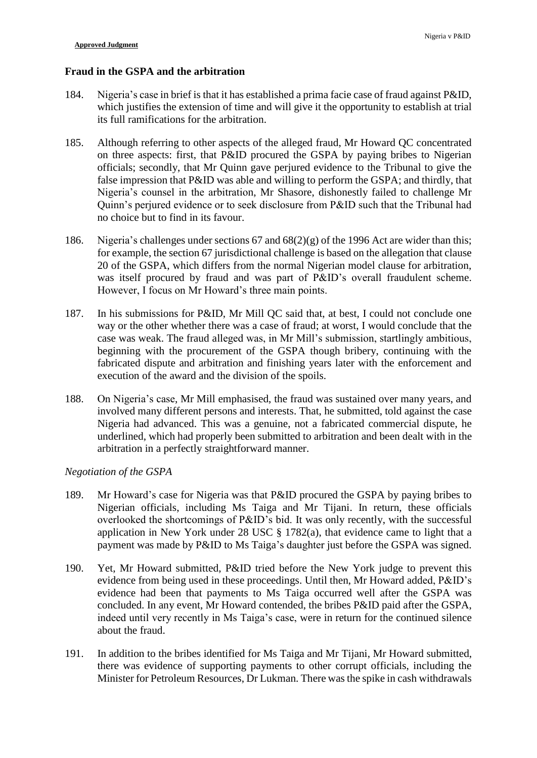### **Fraud in the GSPA and the arbitration**

- 184. Nigeria's case in brief is that it has established a prima facie case of fraud against P&ID, which justifies the extension of time and will give it the opportunity to establish at trial its full ramifications for the arbitration.
- 185. Although referring to other aspects of the alleged fraud, Mr Howard QC concentrated on three aspects: first, that P&ID procured the GSPA by paying bribes to Nigerian officials; secondly, that Mr Quinn gave perjured evidence to the Tribunal to give the false impression that P&ID was able and willing to perform the GSPA; and thirdly, that Nigeria's counsel in the arbitration, Mr Shasore, dishonestly failed to challenge Mr Quinn's perjured evidence or to seek disclosure from P&ID such that the Tribunal had no choice but to find in its favour.
- 186. Nigeria's challenges under sections 67 and 68(2)(g) of the 1996 Act are wider than this; for example, the section 67 jurisdictional challenge is based on the allegation that clause 20 of the GSPA, which differs from the normal Nigerian model clause for arbitration, was itself procured by fraud and was part of P&ID's overall fraudulent scheme. However, I focus on Mr Howard's three main points.
- 187. In his submissions for P&ID, Mr Mill QC said that, at best, I could not conclude one way or the other whether there was a case of fraud; at worst, I would conclude that the case was weak. The fraud alleged was, in Mr Mill's submission, startlingly ambitious, beginning with the procurement of the GSPA though bribery, continuing with the fabricated dispute and arbitration and finishing years later with the enforcement and execution of the award and the division of the spoils.
- 188. On Nigeria's case, Mr Mill emphasised, the fraud was sustained over many years, and involved many different persons and interests. That, he submitted, told against the case Nigeria had advanced. This was a genuine, not a fabricated commercial dispute, he underlined, which had properly been submitted to arbitration and been dealt with in the arbitration in a perfectly straightforward manner.

## *Negotiation of the GSPA*

- 189. Mr Howard's case for Nigeria was that P&ID procured the GSPA by paying bribes to Nigerian officials, including Ms Taiga and Mr Tijani. In return, these officials overlooked the shortcomings of P&ID's bid. It was only recently, with the successful application in New York under 28 USC § 1782(a), that evidence came to light that a payment was made by P&ID to Ms Taiga's daughter just before the GSPA was signed.
- 190. Yet, Mr Howard submitted, P&ID tried before the New York judge to prevent this evidence from being used in these proceedings. Until then, Mr Howard added, P&ID's evidence had been that payments to Ms Taiga occurred well after the GSPA was concluded. In any event, Mr Howard contended, the bribes P&ID paid after the GSPA, indeed until very recently in Ms Taiga's case, were in return for the continued silence about the fraud.
- 191. In addition to the bribes identified for Ms Taiga and Mr Tijani, Mr Howard submitted, there was evidence of supporting payments to other corrupt officials, including the Minister for Petroleum Resources, Dr Lukman. There was the spike in cash withdrawals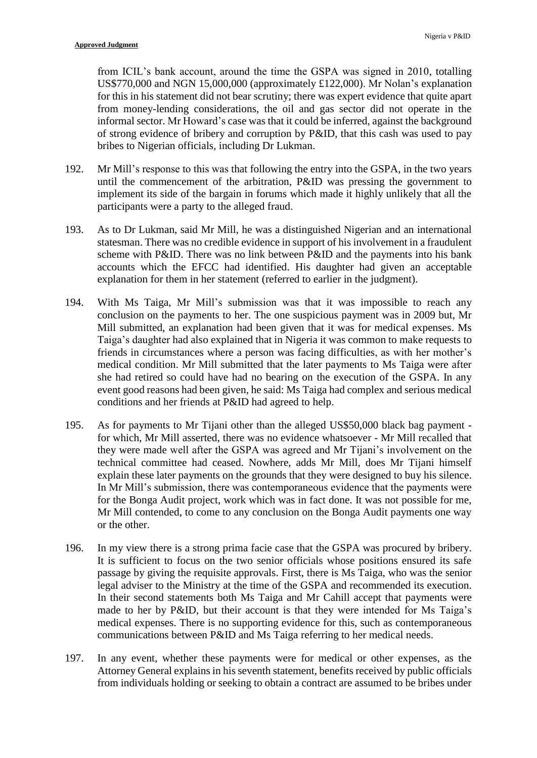from ICIL's bank account, around the time the GSPA was signed in 2010, totalling US\$770,000 and NGN 15,000,000 (approximately £122,000). Mr Nolan's explanation for this in his statement did not bear scrutiny; there was expert evidence that quite apart from money-lending considerations, the oil and gas sector did not operate in the informal sector. Mr Howard's case was that it could be inferred, against the background of strong evidence of bribery and corruption by P&ID, that this cash was used to pay bribes to Nigerian officials, including Dr Lukman.

- 192. Mr Mill's response to this was that following the entry into the GSPA, in the two years until the commencement of the arbitration, P&ID was pressing the government to implement its side of the bargain in forums which made it highly unlikely that all the participants were a party to the alleged fraud.
- 193. As to Dr Lukman, said Mr Mill, he was a distinguished Nigerian and an international statesman. There was no credible evidence in support of his involvement in a fraudulent scheme with P&ID. There was no link between P&ID and the payments into his bank accounts which the EFCC had identified. His daughter had given an acceptable explanation for them in her statement (referred to earlier in the judgment).
- 194. With Ms Taiga, Mr Mill's submission was that it was impossible to reach any conclusion on the payments to her. The one suspicious payment was in 2009 but, Mr Mill submitted, an explanation had been given that it was for medical expenses. Ms Taiga's daughter had also explained that in Nigeria it was common to make requests to friends in circumstances where a person was facing difficulties, as with her mother's medical condition. Mr Mill submitted that the later payments to Ms Taiga were after she had retired so could have had no bearing on the execution of the GSPA. In any event good reasons had been given, he said: Ms Taiga had complex and serious medical conditions and her friends at P&ID had agreed to help.
- 195. As for payments to Mr Tijani other than the alleged US\$50,000 black bag payment for which, Mr Mill asserted, there was no evidence whatsoever - Mr Mill recalled that they were made well after the GSPA was agreed and Mr Tijani's involvement on the technical committee had ceased. Nowhere, adds Mr Mill, does Mr Tijani himself explain these later payments on the grounds that they were designed to buy his silence. In Mr Mill's submission, there was contemporaneous evidence that the payments were for the Bonga Audit project, work which was in fact done. It was not possible for me, Mr Mill contended, to come to any conclusion on the Bonga Audit payments one way or the other.
- 196. In my view there is a strong prima facie case that the GSPA was procured by bribery. It is sufficient to focus on the two senior officials whose positions ensured its safe passage by giving the requisite approvals. First, there is Ms Taiga, who was the senior legal adviser to the Ministry at the time of the GSPA and recommended its execution. In their second statements both Ms Taiga and Mr Cahill accept that payments were made to her by P&ID, but their account is that they were intended for Ms Taiga's medical expenses. There is no supporting evidence for this, such as contemporaneous communications between P&ID and Ms Taiga referring to her medical needs.
- 197. In any event, whether these payments were for medical or other expenses, as the Attorney General explains in his seventh statement, benefits received by public officials from individuals holding or seeking to obtain a contract are assumed to be bribes under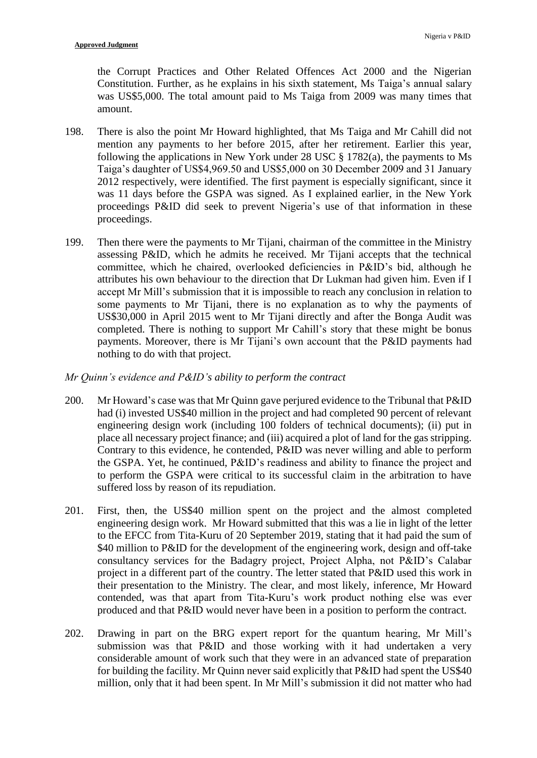the Corrupt Practices and Other Related Offences Act 2000 and the Nigerian Constitution. Further, as he explains in his sixth statement, Ms Taiga's annual salary was US\$5,000. The total amount paid to Ms Taiga from 2009 was many times that amount.

- 198. There is also the point Mr Howard highlighted, that Ms Taiga and Mr Cahill did not mention any payments to her before 2015, after her retirement. Earlier this year, following the applications in New York under 28 USC  $\S$  1782(a), the payments to Ms Taiga's daughter of US\$4,969.50 and US\$5,000 on 30 December 2009 and 31 January 2012 respectively, were identified. The first payment is especially significant, since it was 11 days before the GSPA was signed. As I explained earlier, in the New York proceedings P&ID did seek to prevent Nigeria's use of that information in these proceedings.
- 199. Then there were the payments to Mr Tijani, chairman of the committee in the Ministry assessing P&ID, which he admits he received. Mr Tijani accepts that the technical committee, which he chaired, overlooked deficiencies in P&ID's bid, although he attributes his own behaviour to the direction that Dr Lukman had given him. Even if I accept Mr Mill's submission that it is impossible to reach any conclusion in relation to some payments to Mr Tijani, there is no explanation as to why the payments of US\$30,000 in April 2015 went to Mr Tijani directly and after the Bonga Audit was completed. There is nothing to support Mr Cahill's story that these might be bonus payments. Moreover, there is Mr Tijani's own account that the P&ID payments had nothing to do with that project.

### *Mr Quinn's evidence and P&ID's ability to perform the contract*

- 200. Mr Howard's case was that Mr Quinn gave perjured evidence to the Tribunal that P&ID had (i) invested US\$40 million in the project and had completed 90 percent of relevant engineering design work (including 100 folders of technical documents); (ii) put in place all necessary project finance; and (iii) acquired a plot of land for the gas stripping. Contrary to this evidence, he contended, P&ID was never willing and able to perform the GSPA. Yet, he continued, P&ID's readiness and ability to finance the project and to perform the GSPA were critical to its successful claim in the arbitration to have suffered loss by reason of its repudiation.
- 201. First, then, the US\$40 million spent on the project and the almost completed engineering design work. Mr Howard submitted that this was a lie in light of the letter to the EFCC from Tita-Kuru of 20 September 2019, stating that it had paid the sum of \$40 million to P&ID for the development of the engineering work, design and off-take consultancy services for the Badagry project, Project Alpha, not P&ID's Calabar project in a different part of the country. The letter stated that P&ID used this work in their presentation to the Ministry. The clear, and most likely, inference, Mr Howard contended, was that apart from Tita-Kuru's work product nothing else was ever produced and that P&ID would never have been in a position to perform the contract.
- 202. Drawing in part on the BRG expert report for the quantum hearing, Mr Mill's submission was that P&ID and those working with it had undertaken a very considerable amount of work such that they were in an advanced state of preparation for building the facility. Mr Quinn never said explicitly that P&ID had spent the US\$40 million, only that it had been spent. In Mr Mill's submission it did not matter who had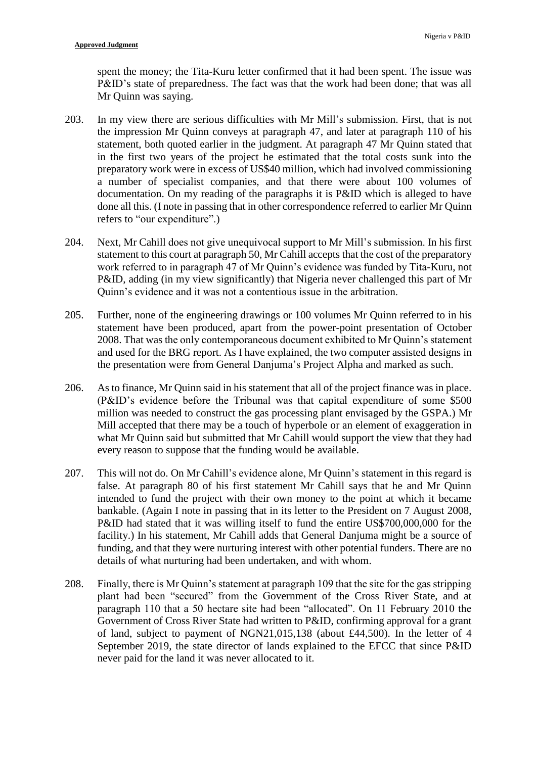spent the money; the Tita-Kuru letter confirmed that it had been spent. The issue was P&ID's state of preparedness. The fact was that the work had been done; that was all Mr Quinn was saying.

- 203. In my view there are serious difficulties with Mr Mill's submission. First, that is not the impression Mr Quinn conveys at paragraph 47, and later at paragraph 110 of his statement, both quoted earlier in the judgment. At paragraph 47 Mr Quinn stated that in the first two years of the project he estimated that the total costs sunk into the preparatory work were in excess of US\$40 million, which had involved commissioning a number of specialist companies, and that there were about 100 volumes of documentation. On my reading of the paragraphs it is P&ID which is alleged to have done all this. (I note in passing that in other correspondence referred to earlier Mr Quinn refers to "our expenditure".)
- 204. Next, Mr Cahill does not give unequivocal support to Mr Mill's submission. In his first statement to this court at paragraph 50, Mr Cahill accepts that the cost of the preparatory work referred to in paragraph 47 of Mr Quinn's evidence was funded by Tita-Kuru, not P&ID, adding (in my view significantly) that Nigeria never challenged this part of Mr Quinn's evidence and it was not a contentious issue in the arbitration.
- 205. Further, none of the engineering drawings or 100 volumes Mr Quinn referred to in his statement have been produced, apart from the power-point presentation of October 2008. That was the only contemporaneous document exhibited to Mr Quinn's statement and used for the BRG report. As I have explained, the two computer assisted designs in the presentation were from General Danjuma's Project Alpha and marked as such.
- 206. As to finance, Mr Quinn said in his statement that all of the project finance was in place. (P&ID's evidence before the Tribunal was that capital expenditure of some \$500 million was needed to construct the gas processing plant envisaged by the GSPA.) Mr Mill accepted that there may be a touch of hyperbole or an element of exaggeration in what Mr Quinn said but submitted that Mr Cahill would support the view that they had every reason to suppose that the funding would be available.
- 207. This will not do. On Mr Cahill's evidence alone, Mr Quinn's statement in this regard is false. At paragraph 80 of his first statement Mr Cahill says that he and Mr Quinn intended to fund the project with their own money to the point at which it became bankable. (Again I note in passing that in its letter to the President on 7 August 2008, P&ID had stated that it was willing itself to fund the entire US\$700,000,000 for the facility.) In his statement, Mr Cahill adds that General Danjuma might be a source of funding, and that they were nurturing interest with other potential funders. There are no details of what nurturing had been undertaken, and with whom.
- 208. Finally, there is Mr Quinn's statement at paragraph 109 that the site for the gas stripping plant had been "secured" from the Government of the Cross River State, and at paragraph 110 that a 50 hectare site had been "allocated". On 11 February 2010 the Government of Cross River State had written to P&ID, confirming approval for a grant of land, subject to payment of NGN21,015,138 (about £44,500). In the letter of 4 September 2019, the state director of lands explained to the EFCC that since P&ID never paid for the land it was never allocated to it.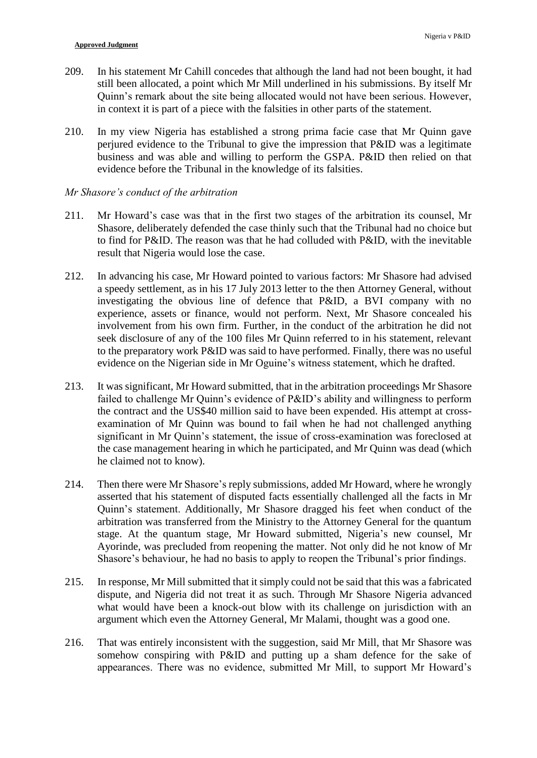- 209. In his statement Mr Cahill concedes that although the land had not been bought, it had still been allocated, a point which Mr Mill underlined in his submissions. By itself Mr Quinn's remark about the site being allocated would not have been serious. However, in context it is part of a piece with the falsities in other parts of the statement.
- 210. In my view Nigeria has established a strong prima facie case that Mr Quinn gave perjured evidence to the Tribunal to give the impression that P&ID was a legitimate business and was able and willing to perform the GSPA. P&ID then relied on that evidence before the Tribunal in the knowledge of its falsities.

#### *Mr Shasore's conduct of the arbitration*

- 211. Mr Howard's case was that in the first two stages of the arbitration its counsel, Mr Shasore, deliberately defended the case thinly such that the Tribunal had no choice but to find for P&ID. The reason was that he had colluded with P&ID, with the inevitable result that Nigeria would lose the case.
- 212. In advancing his case, Mr Howard pointed to various factors: Mr Shasore had advised a speedy settlement, as in his 17 July 2013 letter to the then Attorney General, without investigating the obvious line of defence that P&ID, a BVI company with no experience, assets or finance, would not perform. Next, Mr Shasore concealed his involvement from his own firm. Further, in the conduct of the arbitration he did not seek disclosure of any of the 100 files Mr Quinn referred to in his statement, relevant to the preparatory work P&ID was said to have performed. Finally, there was no useful evidence on the Nigerian side in Mr Oguine's witness statement, which he drafted.
- 213. It was significant, Mr Howard submitted, that in the arbitration proceedings Mr Shasore failed to challenge Mr Quinn's evidence of P&ID's ability and willingness to perform the contract and the US\$40 million said to have been expended. His attempt at crossexamination of Mr Quinn was bound to fail when he had not challenged anything significant in Mr Quinn's statement, the issue of cross-examination was foreclosed at the case management hearing in which he participated, and Mr Quinn was dead (which he claimed not to know).
- 214. Then there were Mr Shasore's reply submissions, added Mr Howard, where he wrongly asserted that his statement of disputed facts essentially challenged all the facts in Mr Quinn's statement. Additionally, Mr Shasore dragged his feet when conduct of the arbitration was transferred from the Ministry to the Attorney General for the quantum stage. At the quantum stage, Mr Howard submitted, Nigeria's new counsel, Mr Ayorinde, was precluded from reopening the matter. Not only did he not know of Mr Shasore's behaviour, he had no basis to apply to reopen the Tribunal's prior findings.
- 215. In response, Mr Mill submitted that it simply could not be said that this was a fabricated dispute, and Nigeria did not treat it as such. Through Mr Shasore Nigeria advanced what would have been a knock-out blow with its challenge on jurisdiction with an argument which even the Attorney General, Mr Malami, thought was a good one.
- 216. That was entirely inconsistent with the suggestion, said Mr Mill, that Mr Shasore was somehow conspiring with P&ID and putting up a sham defence for the sake of appearances. There was no evidence, submitted Mr Mill, to support Mr Howard's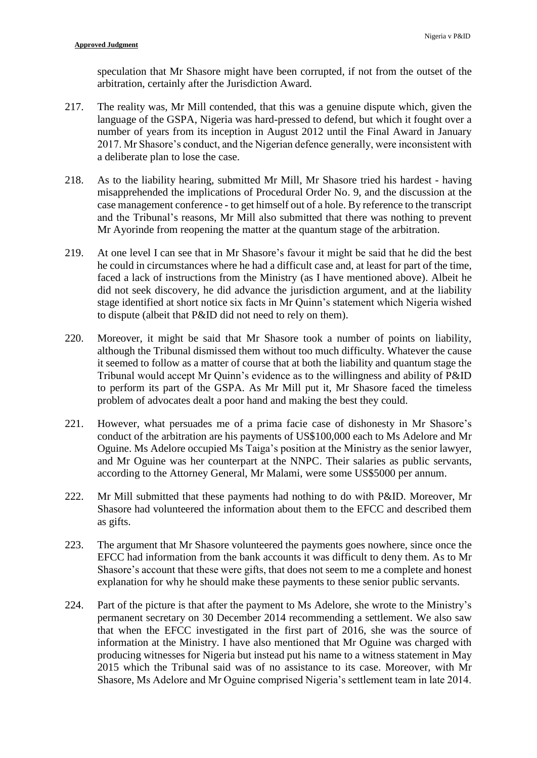speculation that Mr Shasore might have been corrupted, if not from the outset of the arbitration, certainly after the Jurisdiction Award.

- 217. The reality was, Mr Mill contended, that this was a genuine dispute which, given the language of the GSPA, Nigeria was hard-pressed to defend, but which it fought over a number of years from its inception in August 2012 until the Final Award in January 2017. Mr Shasore's conduct, and the Nigerian defence generally, were inconsistent with a deliberate plan to lose the case.
- 218. As to the liability hearing, submitted Mr Mill, Mr Shasore tried his hardest having misapprehended the implications of Procedural Order No. 9, and the discussion at the case management conference - to get himself out of a hole. By reference to the transcript and the Tribunal's reasons, Mr Mill also submitted that there was nothing to prevent Mr Ayorinde from reopening the matter at the quantum stage of the arbitration.
- 219. At one level I can see that in Mr Shasore's favour it might be said that he did the best he could in circumstances where he had a difficult case and, at least for part of the time, faced a lack of instructions from the Ministry (as I have mentioned above). Albeit he did not seek discovery, he did advance the jurisdiction argument, and at the liability stage identified at short notice six facts in Mr Quinn's statement which Nigeria wished to dispute (albeit that P&ID did not need to rely on them).
- 220. Moreover, it might be said that Mr Shasore took a number of points on liability, although the Tribunal dismissed them without too much difficulty. Whatever the cause it seemed to follow as a matter of course that at both the liability and quantum stage the Tribunal would accept Mr Quinn's evidence as to the willingness and ability of P&ID to perform its part of the GSPA. As Mr Mill put it, Mr Shasore faced the timeless problem of advocates dealt a poor hand and making the best they could.
- 221. However, what persuades me of a prima facie case of dishonesty in Mr Shasore's conduct of the arbitration are his payments of US\$100,000 each to Ms Adelore and Mr Oguine. Ms Adelore occupied Ms Taiga's position at the Ministry as the senior lawyer, and Mr Oguine was her counterpart at the NNPC. Their salaries as public servants, according to the Attorney General, Mr Malami, were some US\$5000 per annum.
- 222. Mr Mill submitted that these payments had nothing to do with P&ID. Moreover, Mr Shasore had volunteered the information about them to the EFCC and described them as gifts.
- 223. The argument that Mr Shasore volunteered the payments goes nowhere, since once the EFCC had information from the bank accounts it was difficult to deny them. As to Mr Shasore's account that these were gifts, that does not seem to me a complete and honest explanation for why he should make these payments to these senior public servants.
- 224. Part of the picture is that after the payment to Ms Adelore, she wrote to the Ministry's permanent secretary on 30 December 2014 recommending a settlement. We also saw that when the EFCC investigated in the first part of 2016, she was the source of information at the Ministry. I have also mentioned that Mr Oguine was charged with producing witnesses for Nigeria but instead put his name to a witness statement in May 2015 which the Tribunal said was of no assistance to its case. Moreover, with Mr Shasore, Ms Adelore and Mr Oguine comprised Nigeria's settlement team in late 2014.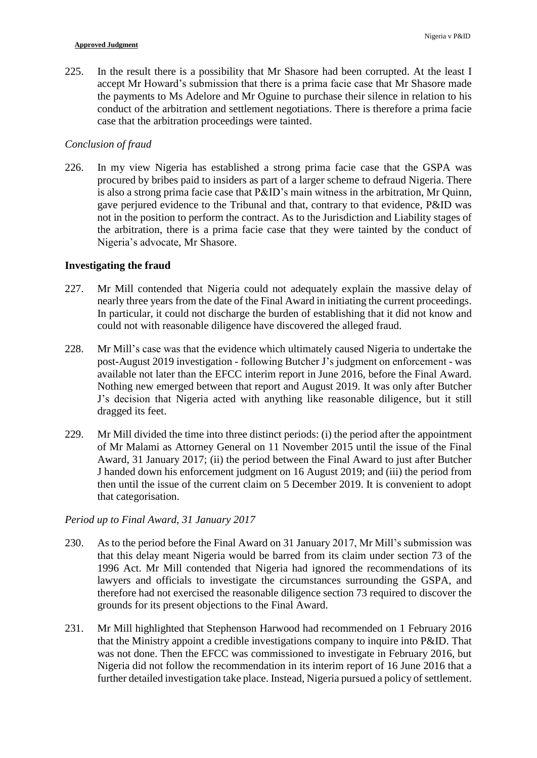225. In the result there is a possibility that Mr Shasore had been corrupted. At the least I accept Mr Howard's submission that there is a prima facie case that Mr Shasore made the payments to Ms Adelore and Mr Oguine to purchase their silence in relation to his conduct of the arbitration and settlement negotiations. There is therefore a prima facie case that the arbitration proceedings were tainted.

## *Conclusion of fraud*

226. In my view Nigeria has established a strong prima facie case that the GSPA was procured by bribes paid to insiders as part of a larger scheme to defraud Nigeria. There is also a strong prima facie case that P&ID's main witness in the arbitration, Mr Quinn, gave perjured evidence to the Tribunal and that, contrary to that evidence, P&ID was not in the position to perform the contract. As to the Jurisdiction and Liability stages of the arbitration, there is a prima facie case that they were tainted by the conduct of Nigeria's advocate, Mr Shasore.

### **Investigating the fraud**

- 227. Mr Mill contended that Nigeria could not adequately explain the massive delay of nearly three years from the date of the Final Award in initiating the current proceedings. In particular, it could not discharge the burden of establishing that it did not know and could not with reasonable diligence have discovered the alleged fraud.
- 228. Mr Mill's case was that the evidence which ultimately caused Nigeria to undertake the post-August 2019 investigation - following Butcher J's judgment on enforcement - was available not later than the EFCC interim report in June 2016, before the Final Award. Nothing new emerged between that report and August 2019. It was only after Butcher J's decision that Nigeria acted with anything like reasonable diligence, but it still dragged its feet.
- 229. Mr Mill divided the time into three distinct periods: (i) the period after the appointment of Mr Malami as Attorney General on 11 November 2015 until the issue of the Final Award, 31 January 2017; (ii) the period between the Final Award to just after Butcher J handed down his enforcement judgment on 16 August 2019; and (iii) the period from then until the issue of the current claim on 5 December 2019. It is convenient to adopt that categorisation.

## *Period up to Final Award, 31 January 2017*

- 230. As to the period before the Final Award on 31 January 2017, Mr Mill's submission was that this delay meant Nigeria would be barred from its claim under section 73 of the 1996 Act. Mr Mill contended that Nigeria had ignored the recommendations of its lawyers and officials to investigate the circumstances surrounding the GSPA, and therefore had not exercised the reasonable diligence section 73 required to discover the grounds for its present objections to the Final Award.
- 231. Mr Mill highlighted that Stephenson Harwood had recommended on 1 February 2016 that the Ministry appoint a credible investigations company to inquire into P&ID. That was not done. Then the EFCC was commissioned to investigate in February 2016, but Nigeria did not follow the recommendation in its interim report of 16 June 2016 that a further detailed investigation take place. Instead, Nigeria pursued a policy of settlement.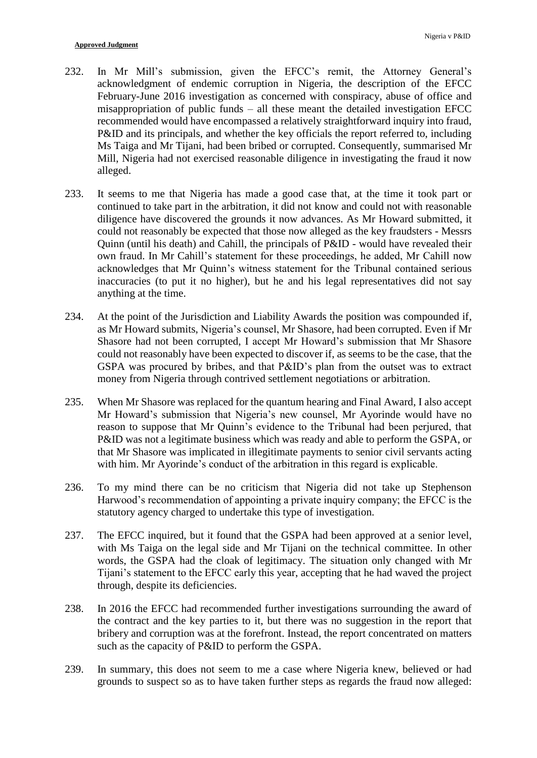- 232. In Mr Mill's submission, given the EFCC's remit, the Attorney General's acknowledgment of endemic corruption in Nigeria, the description of the EFCC February-June 2016 investigation as concerned with conspiracy, abuse of office and misappropriation of public funds – all these meant the detailed investigation EFCC recommended would have encompassed a relatively straightforward inquiry into fraud, P&ID and its principals, and whether the key officials the report referred to, including Ms Taiga and Mr Tijani, had been bribed or corrupted. Consequently, summarised Mr Mill, Nigeria had not exercised reasonable diligence in investigating the fraud it now alleged.
- 233. It seems to me that Nigeria has made a good case that, at the time it took part or continued to take part in the arbitration, it did not know and could not with reasonable diligence have discovered the grounds it now advances. As Mr Howard submitted, it could not reasonably be expected that those now alleged as the key fraudsters - Messrs Quinn (until his death) and Cahill, the principals of P&ID - would have revealed their own fraud. In Mr Cahill's statement for these proceedings, he added, Mr Cahill now acknowledges that Mr Quinn's witness statement for the Tribunal contained serious inaccuracies (to put it no higher), but he and his legal representatives did not say anything at the time.
- 234. At the point of the Jurisdiction and Liability Awards the position was compounded if, as Mr Howard submits, Nigeria's counsel, Mr Shasore, had been corrupted. Even if Mr Shasore had not been corrupted, I accept Mr Howard's submission that Mr Shasore could not reasonably have been expected to discover if, as seems to be the case, that the GSPA was procured by bribes, and that P&ID's plan from the outset was to extract money from Nigeria through contrived settlement negotiations or arbitration.
- 235. When Mr Shasore was replaced for the quantum hearing and Final Award, I also accept Mr Howard's submission that Nigeria's new counsel, Mr Ayorinde would have no reason to suppose that Mr Quinn's evidence to the Tribunal had been perjured, that P&ID was not a legitimate business which was ready and able to perform the GSPA, or that Mr Shasore was implicated in illegitimate payments to senior civil servants acting with him. Mr Ayorinde's conduct of the arbitration in this regard is explicable.
- 236. To my mind there can be no criticism that Nigeria did not take up Stephenson Harwood's recommendation of appointing a private inquiry company; the EFCC is the statutory agency charged to undertake this type of investigation.
- 237. The EFCC inquired, but it found that the GSPA had been approved at a senior level, with Ms Taiga on the legal side and Mr Tijani on the technical committee. In other words, the GSPA had the cloak of legitimacy. The situation only changed with Mr Tijani's statement to the EFCC early this year, accepting that he had waved the project through, despite its deficiencies.
- 238. In 2016 the EFCC had recommended further investigations surrounding the award of the contract and the key parties to it, but there was no suggestion in the report that bribery and corruption was at the forefront. Instead, the report concentrated on matters such as the capacity of P&ID to perform the GSPA.
- 239. In summary, this does not seem to me a case where Nigeria knew, believed or had grounds to suspect so as to have taken further steps as regards the fraud now alleged: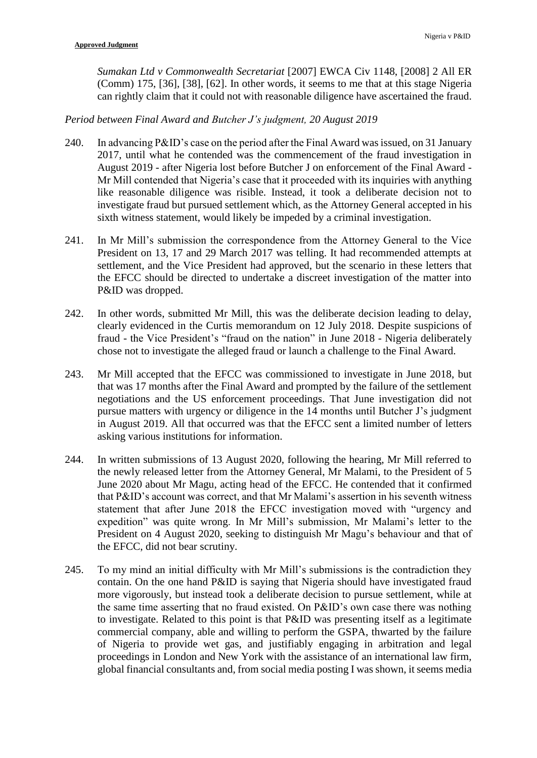*Sumakan Ltd v Commonwealth Secretariat* [2007] EWCA Civ 1148, [2008] 2 All ER (Comm) 175, [36], [38], [62]. In other words, it seems to me that at this stage Nigeria can rightly claim that it could not with reasonable diligence have ascertained the fraud.

## *Period between Final Award and Butcher J's judgment, 20 August 2019*

- 240. In advancing P&ID's case on the period after the Final Award was issued, on 31 January 2017, until what he contended was the commencement of the fraud investigation in August 2019 - after Nigeria lost before Butcher J on enforcement of the Final Award - Mr Mill contended that Nigeria's case that it proceeded with its inquiries with anything like reasonable diligence was risible. Instead, it took a deliberate decision not to investigate fraud but pursued settlement which, as the Attorney General accepted in his sixth witness statement, would likely be impeded by a criminal investigation.
- 241. In Mr Mill's submission the correspondence from the Attorney General to the Vice President on 13, 17 and 29 March 2017 was telling. It had recommended attempts at settlement, and the Vice President had approved, but the scenario in these letters that the EFCC should be directed to undertake a discreet investigation of the matter into P&ID was dropped.
- 242. In other words, submitted Mr Mill, this was the deliberate decision leading to delay, clearly evidenced in the Curtis memorandum on 12 July 2018. Despite suspicions of fraud - the Vice President's "fraud on the nation" in June 2018 - Nigeria deliberately chose not to investigate the alleged fraud or launch a challenge to the Final Award.
- 243. Mr Mill accepted that the EFCC was commissioned to investigate in June 2018, but that was 17 months after the Final Award and prompted by the failure of the settlement negotiations and the US enforcement proceedings. That June investigation did not pursue matters with urgency or diligence in the 14 months until Butcher J's judgment in August 2019. All that occurred was that the EFCC sent a limited number of letters asking various institutions for information.
- 244. In written submissions of 13 August 2020, following the hearing, Mr Mill referred to the newly released letter from the Attorney General, Mr Malami, to the President of 5 June 2020 about Mr Magu, acting head of the EFCC. He contended that it confirmed that P&ID's account was correct, and that Mr Malami's assertion in his seventh witness statement that after June 2018 the EFCC investigation moved with "urgency and expedition" was quite wrong. In Mr Mill's submission, Mr Malami's letter to the President on 4 August 2020, seeking to distinguish Mr Magu's behaviour and that of the EFCC, did not bear scrutiny.
- 245. To my mind an initial difficulty with Mr Mill's submissions is the contradiction they contain. On the one hand P&ID is saying that Nigeria should have investigated fraud more vigorously, but instead took a deliberate decision to pursue settlement, while at the same time asserting that no fraud existed. On P&ID's own case there was nothing to investigate. Related to this point is that P&ID was presenting itself as a legitimate commercial company, able and willing to perform the GSPA, thwarted by the failure of Nigeria to provide wet gas, and justifiably engaging in arbitration and legal proceedings in London and New York with the assistance of an international law firm, global financial consultants and, from social media posting I was shown, it seems media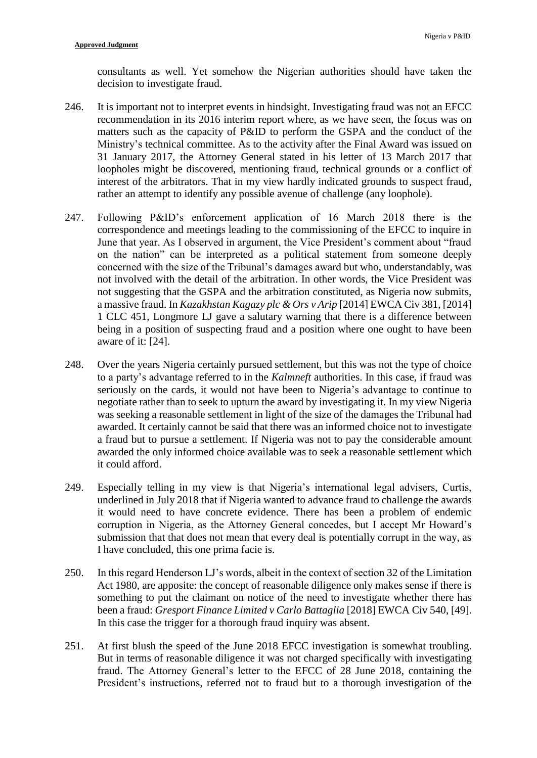consultants as well. Yet somehow the Nigerian authorities should have taken the decision to investigate fraud.

- 246. It is important not to interpret events in hindsight. Investigating fraud was not an EFCC recommendation in its 2016 interim report where, as we have seen, the focus was on matters such as the capacity of P&ID to perform the GSPA and the conduct of the Ministry's technical committee. As to the activity after the Final Award was issued on 31 January 2017, the Attorney General stated in his letter of 13 March 2017 that loopholes might be discovered, mentioning fraud, technical grounds or a conflict of interest of the arbitrators. That in my view hardly indicated grounds to suspect fraud, rather an attempt to identify any possible avenue of challenge (any loophole).
- 247. Following P&ID's enforcement application of 16 March 2018 there is the correspondence and meetings leading to the commissioning of the EFCC to inquire in June that year. As I observed in argument, the Vice President's comment about "fraud on the nation" can be interpreted as a political statement from someone deeply concerned with the size of the Tribunal's damages award but who, understandably, was not involved with the detail of the arbitration. In other words, the Vice President was not suggesting that the GSPA and the arbitration constituted, as Nigeria now submits, a massive fraud. In *Kazakhstan Kagazy plc & Ors v Arip* [2014] EWCA Civ 381, [2014] 1 CLC 451, Longmore LJ gave a salutary warning that there is a difference between being in a position of suspecting fraud and a position where one ought to have been aware of it: [24].
- 248. Over the years Nigeria certainly pursued settlement, but this was not the type of choice to a party's advantage referred to in the *Kalmneft* authorities. In this case, if fraud was seriously on the cards, it would not have been to Nigeria's advantage to continue to negotiate rather than to seek to upturn the award by investigating it. In my view Nigeria was seeking a reasonable settlement in light of the size of the damages the Tribunal had awarded. It certainly cannot be said that there was an informed choice not to investigate a fraud but to pursue a settlement. If Nigeria was not to pay the considerable amount awarded the only informed choice available was to seek a reasonable settlement which it could afford.
- 249. Especially telling in my view is that Nigeria's international legal advisers, Curtis, underlined in July 2018 that if Nigeria wanted to advance fraud to challenge the awards it would need to have concrete evidence. There has been a problem of endemic corruption in Nigeria, as the Attorney General concedes, but I accept Mr Howard's submission that that does not mean that every deal is potentially corrupt in the way, as I have concluded, this one prima facie is.
- 250. In this regard Henderson LJ's words, albeit in the context of section 32 of the Limitation Act 1980, are apposite: the concept of reasonable diligence only makes sense if there is something to put the claimant on notice of the need to investigate whether there has been a fraud: *Gresport Finance Limited v Carlo Battaglia* [2018] EWCA Civ 540, [49]. In this case the trigger for a thorough fraud inquiry was absent.
- 251. At first blush the speed of the June 2018 EFCC investigation is somewhat troubling. But in terms of reasonable diligence it was not charged specifically with investigating fraud. The Attorney General's letter to the EFCC of 28 June 2018, containing the President's instructions, referred not to fraud but to a thorough investigation of the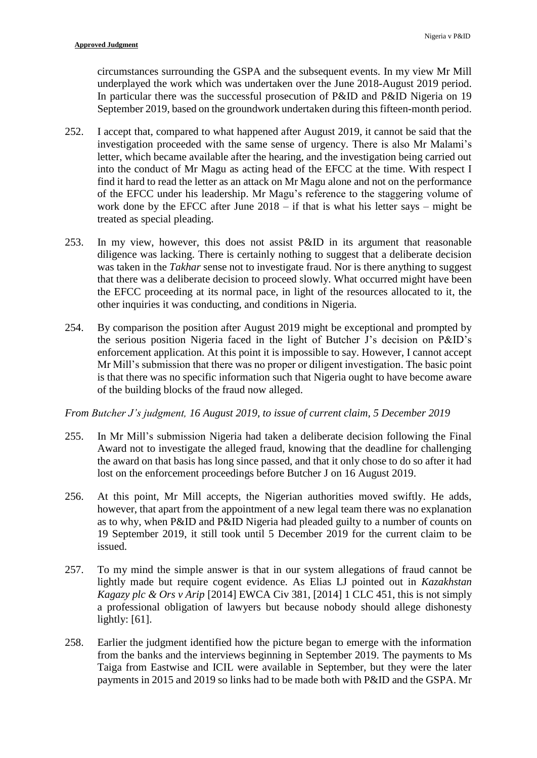circumstances surrounding the GSPA and the subsequent events. In my view Mr Mill underplayed the work which was undertaken over the June 2018-August 2019 period. In particular there was the successful prosecution of P&ID and P&ID Nigeria on 19 September 2019, based on the groundwork undertaken during this fifteen-month period.

- 252. I accept that, compared to what happened after August 2019, it cannot be said that the investigation proceeded with the same sense of urgency. There is also Mr Malami's letter, which became available after the hearing, and the investigation being carried out into the conduct of Mr Magu as acting head of the EFCC at the time. With respect I find it hard to read the letter as an attack on Mr Magu alone and not on the performance of the EFCC under his leadership. Mr Magu's reference to the staggering volume of work done by the EFCC after June 2018 – if that is what his letter says – might be treated as special pleading.
- 253. In my view, however, this does not assist P&ID in its argument that reasonable diligence was lacking. There is certainly nothing to suggest that a deliberate decision was taken in the *Takhar* sense not to investigate fraud. Nor is there anything to suggest that there was a deliberate decision to proceed slowly. What occurred might have been the EFCC proceeding at its normal pace, in light of the resources allocated to it, the other inquiries it was conducting, and conditions in Nigeria.
- 254. By comparison the position after August 2019 might be exceptional and prompted by the serious position Nigeria faced in the light of Butcher J's decision on P&ID's enforcement application. At this point it is impossible to say. However, I cannot accept Mr Mill's submission that there was no proper or diligent investigation. The basic point is that there was no specific information such that Nigeria ought to have become aware of the building blocks of the fraud now alleged.

*From Butcher J's judgment, 16 August 2019, to issue of current claim, 5 December 2019*

- 255. In Mr Mill's submission Nigeria had taken a deliberate decision following the Final Award not to investigate the alleged fraud, knowing that the deadline for challenging the award on that basis has long since passed, and that it only chose to do so after it had lost on the enforcement proceedings before Butcher J on 16 August 2019.
- 256. At this point, Mr Mill accepts, the Nigerian authorities moved swiftly. He adds, however, that apart from the appointment of a new legal team there was no explanation as to why, when P&ID and P&ID Nigeria had pleaded guilty to a number of counts on 19 September 2019, it still took until 5 December 2019 for the current claim to be issued.
- 257. To my mind the simple answer is that in our system allegations of fraud cannot be lightly made but require cogent evidence. As Elias LJ pointed out in *Kazakhstan Kagazy plc & Ors v Arip* [2014] EWCA Civ 381, [2014] 1 CLC 451, this is not simply a professional obligation of lawyers but because nobody should allege dishonesty lightly: [61].
- 258. Earlier the judgment identified how the picture began to emerge with the information from the banks and the interviews beginning in September 2019. The payments to Ms Taiga from Eastwise and ICIL were available in September, but they were the later payments in 2015 and 2019 so links had to be made both with P&ID and the GSPA. Mr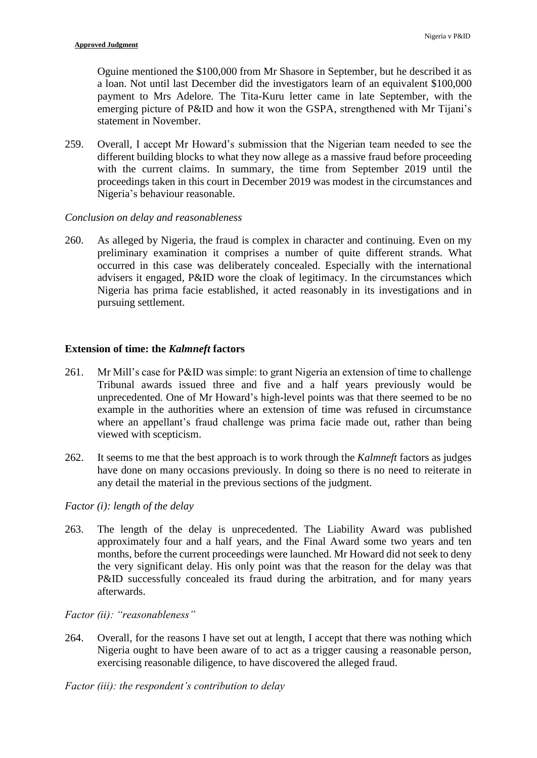Oguine mentioned the \$100,000 from Mr Shasore in September, but he described it as a loan. Not until last December did the investigators learn of an equivalent \$100,000 payment to Mrs Adelore. The Tita-Kuru letter came in late September, with the emerging picture of P&ID and how it won the GSPA, strengthened with Mr Tijani's statement in November.

259. Overall, I accept Mr Howard's submission that the Nigerian team needed to see the different building blocks to what they now allege as a massive fraud before proceeding with the current claims. In summary, the time from September 2019 until the proceedings taken in this court in December 2019 was modest in the circumstances and Nigeria's behaviour reasonable.

# *Conclusion on delay and reasonableness*

260. As alleged by Nigeria, the fraud is complex in character and continuing. Even on my preliminary examination it comprises a number of quite different strands. What occurred in this case was deliberately concealed. Especially with the international advisers it engaged, P&ID wore the cloak of legitimacy. In the circumstances which Nigeria has prima facie established, it acted reasonably in its investigations and in pursuing settlement.

# **Extension of time: the** *Kalmneft* **factors**

- 261. Mr Mill's case for P&ID was simple: to grant Nigeria an extension of time to challenge Tribunal awards issued three and five and a half years previously would be unprecedented. One of Mr Howard's high-level points was that there seemed to be no example in the authorities where an extension of time was refused in circumstance where an appellant's fraud challenge was prima facie made out, rather than being viewed with scepticism.
- 262. It seems to me that the best approach is to work through the *Kalmneft* factors as judges have done on many occasions previously. In doing so there is no need to reiterate in any detail the material in the previous sections of the judgment.

## *Factor (i): length of the delay*

263. The length of the delay is unprecedented. The Liability Award was published approximately four and a half years, and the Final Award some two years and ten months, before the current proceedings were launched. Mr Howard did not seek to deny the very significant delay. His only point was that the reason for the delay was that P&ID successfully concealed its fraud during the arbitration, and for many years afterwards.

## *Factor (ii): "reasonableness"*

264. Overall, for the reasons I have set out at length, I accept that there was nothing which Nigeria ought to have been aware of to act as a trigger causing a reasonable person, exercising reasonable diligence, to have discovered the alleged fraud.

*Factor (iii): the respondent's contribution to delay*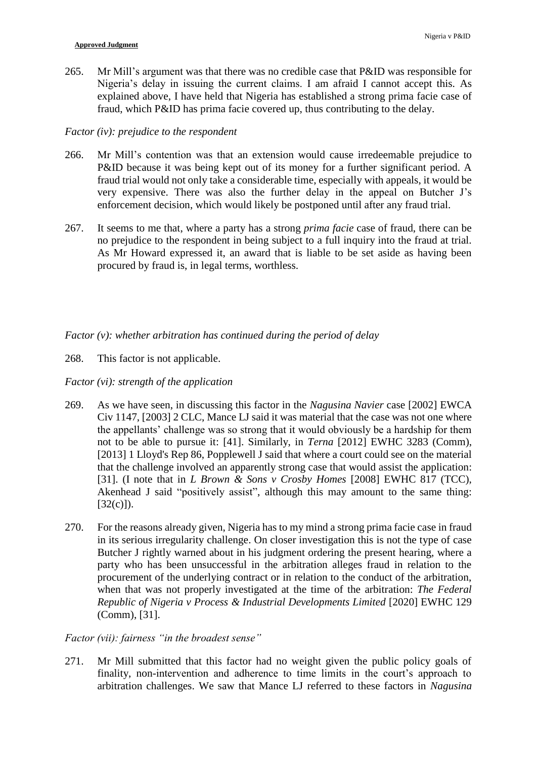265. Mr Mill's argument was that there was no credible case that P&ID was responsible for Nigeria's delay in issuing the current claims. I am afraid I cannot accept this. As explained above, I have held that Nigeria has established a strong prima facie case of fraud, which P&ID has prima facie covered up, thus contributing to the delay.

# *Factor (iv): prejudice to the respondent*

- 266. Mr Mill's contention was that an extension would cause irredeemable prejudice to P&ID because it was being kept out of its money for a further significant period. A fraud trial would not only take a considerable time, especially with appeals, it would be very expensive. There was also the further delay in the appeal on Butcher J's enforcement decision, which would likely be postponed until after any fraud trial.
- 267. It seems to me that, where a party has a strong *prima facie* case of fraud, there can be no prejudice to the respondent in being subject to a full inquiry into the fraud at trial. As Mr Howard expressed it, an award that is liable to be set aside as having been procured by fraud is, in legal terms, worthless.

*Factor (v): whether arbitration has continued during the period of delay*

268. This factor is not applicable.

# *Factor (vi): strength of the application*

- 269. As we have seen, in discussing this factor in the *Nagusina Navier* case [2002] EWCA Civ 1147, [2003] 2 CLC, Mance LJ said it was material that the case was not one where the appellants' challenge was so strong that it would obviously be a hardship for them not to be able to pursue it: [41]. Similarly, in *Terna* [2012] EWHC 3283 (Comm), [2013] 1 Lloyd's Rep 86, Popplewell J said that where a court could see on the material that the challenge involved an apparently strong case that would assist the application: [31]. (I note that in *L Brown & Sons v Crosby Homes* [2008] EWHC 817 (TCC), Akenhead J said "positively assist", although this may amount to the same thing:  $[32(c)]$ ).
- 270. For the reasons already given, Nigeria has to my mind a strong prima facie case in fraud in its serious irregularity challenge. On closer investigation this is not the type of case Butcher J rightly warned about in his judgment ordering the present hearing, where a party who has been unsuccessful in the arbitration alleges fraud in relation to the procurement of the underlying contract or in relation to the conduct of the arbitration, when that was not properly investigated at the time of the arbitration: *The Federal Republic of Nigeria v Process & Industrial Developments Limited* [2020] EWHC 129 (Comm), [31].

# *Factor (vii): fairness "in the broadest sense"*

271. Mr Mill submitted that this factor had no weight given the public policy goals of finality, non-intervention and adherence to time limits in the court's approach to arbitration challenges. We saw that Mance LJ referred to these factors in *Nagusina*